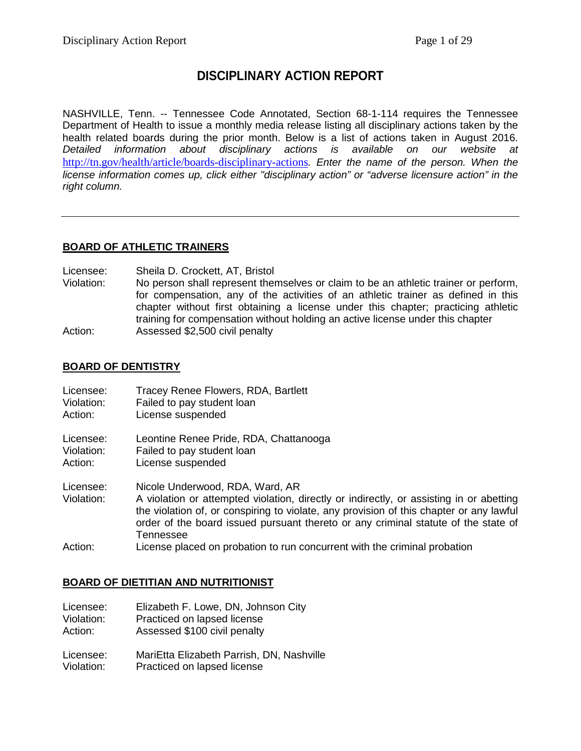# **DISCIPLINARY ACTION REPORT**

NASHVILLE, Tenn. -- Tennessee Code Annotated, Section 68-1-114 requires the Tennessee Department of Health to issue a monthly media release listing all disciplinary actions taken by the health related boards during the prior month. Below is a list of actions taken in August 2016. *Detailed information about disciplinary actions is available on our website at* <http://tn.gov/health/article/boards-disciplinary-actions>*. Enter the name of the person. When the license information comes up, click either "disciplinary action" or "adverse licensure action" in the right column.*

# **BOARD OF ATHLETIC TRAINERS**

Licensee: Sheila D. Crockett, AT, Bristol

Violation: No person shall represent themselves or claim to be an athletic trainer or perform, for compensation, any of the activities of an athletic trainer as defined in this chapter without first obtaining a license under this chapter; practicing athletic training for compensation without holding an active license under this chapter Action: Assessed \$2,500 civil penalty

#### **BOARD OF DENTISTRY**

| Licensee:               | Tracey Renee Flowers, RDA, Bartlett                                                                                                                                                                                                                                                                                      |
|-------------------------|--------------------------------------------------------------------------------------------------------------------------------------------------------------------------------------------------------------------------------------------------------------------------------------------------------------------------|
| Violation:              | Failed to pay student loan                                                                                                                                                                                                                                                                                               |
| Action:                 | License suspended                                                                                                                                                                                                                                                                                                        |
| Licensee:               | Leontine Renee Pride, RDA, Chattanooga                                                                                                                                                                                                                                                                                   |
| Violation:              | Failed to pay student loan                                                                                                                                                                                                                                                                                               |
| Action:                 | License suspended                                                                                                                                                                                                                                                                                                        |
| Licensee:<br>Violation: | Nicole Underwood, RDA, Ward, AR<br>A violation or attempted violation, directly or indirectly, or assisting in or abetting<br>the violation of, or conspiring to violate, any provision of this chapter or any lawful<br>order of the board issued pursuant thereto or any criminal statute of the state of<br>Tennessee |
| Action:                 | License placed on probation to run concurrent with the criminal probation                                                                                                                                                                                                                                                |

# **BOARD OF DIETITIAN AND NUTRITIONIST**

| Licensee:  | Elizabeth F. Lowe, DN, Johnson City       |
|------------|-------------------------------------------|
| Violation: | Practiced on lapsed license               |
| Action:    | Assessed \$100 civil penalty              |
| Licensee:  | MariEtta Elizabeth Parrish, DN, Nashville |
| Violation: | Practiced on lapsed license               |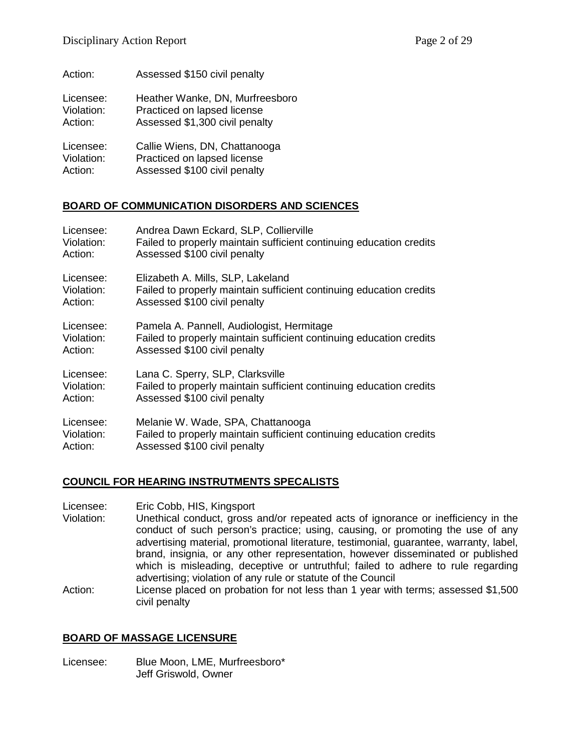| Action:    | Assessed \$150 civil penalty    |
|------------|---------------------------------|
| Licensee:  | Heather Wanke, DN, Murfreesboro |
| Violation: | Practiced on lapsed license     |
| Action:    | Assessed \$1,300 civil penalty  |
| Licensee:  | Callie Wiens, DN, Chattanooga   |
| Violation: | Practiced on lapsed license     |
| Action:    | Assessed \$100 civil penalty    |

# **BOARD OF COMMUNICATION DISORDERS AND SCIENCES**

| Licensee:  | Andrea Dawn Eckard, SLP, Collierville                               |
|------------|---------------------------------------------------------------------|
| Violation: | Failed to properly maintain sufficient continuing education credits |
| Action:    | Assessed \$100 civil penalty                                        |
| Licensee:  | Elizabeth A. Mills, SLP, Lakeland                                   |
| Violation: | Failed to properly maintain sufficient continuing education credits |
| Action:    | Assessed \$100 civil penalty                                        |
| Licensee:  | Pamela A. Pannell, Audiologist, Hermitage                           |
| Violation: | Failed to properly maintain sufficient continuing education credits |
| Action:    | Assessed \$100 civil penalty                                        |
| Licensee:  | Lana C. Sperry, SLP, Clarksville                                    |
| Violation: | Failed to properly maintain sufficient continuing education credits |
| Action:    | Assessed \$100 civil penalty                                        |
| Licensee:  | Melanie W. Wade, SPA, Chattanooga                                   |
| Violation: | Failed to properly maintain sufficient continuing education credits |
| Action:    | Assessed \$100 civil penalty                                        |

#### **COUNCIL FOR HEARING INSTRUTMENTS SPECALISTS**

Licensee: Eric Cobb, HIS, Kingsport

- Violation: Unethical conduct, gross and/or repeated acts of ignorance or inefficiency in the conduct of such person's practice; using, causing, or promoting the use of any advertising material, promotional literature, testimonial, guarantee, warranty, label, brand, insignia, or any other representation, however disseminated or published which is misleading, deceptive or untruthful; failed to adhere to rule regarding advertising; violation of any rule or statute of the Council
- Action: License placed on probation for not less than 1 year with terms; assessed \$1,500 civil penalty

#### **BOARD OF MASSAGE LICENSURE**

Licensee: Blue Moon, LME, Murfreesboro\* Jeff Griswold, Owner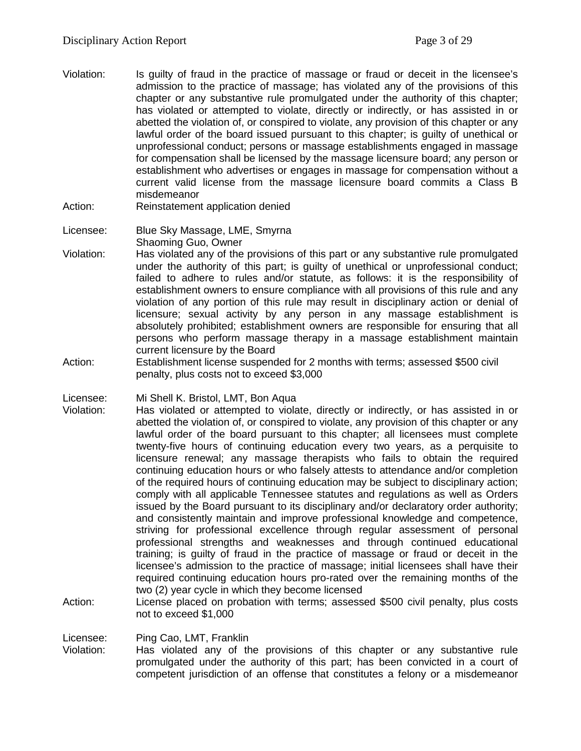- Violation: Is guilty of fraud in the practice of massage or fraud or deceit in the licensee's admission to the practice of massage; has violated any of the provisions of this chapter or any substantive rule promulgated under the authority of this chapter; has violated or attempted to violate, directly or indirectly, or has assisted in or abetted the violation of, or conspired to violate, any provision of this chapter or any lawful order of the board issued pursuant to this chapter; is guilty of unethical or unprofessional conduct; persons or massage establishments engaged in massage for compensation shall be licensed by the massage licensure board; any person or establishment who advertises or engages in massage for compensation without a current valid license from the massage licensure board commits a Class B misdemeanor
- Action: Reinstatement application denied
- Licensee: Blue Sky Massage, LME, Smyrna Shaoming Guo, Owner
- Violation: Has violated any of the provisions of this part or any substantive rule promulgated under the authority of this part; is guilty of unethical or unprofessional conduct; failed to adhere to rules and/or statute, as follows: it is the responsibility of establishment owners to ensure compliance with all provisions of this rule and any violation of any portion of this rule may result in disciplinary action or denial of licensure; sexual activity by any person in any massage establishment is absolutely prohibited; establishment owners are responsible for ensuring that all persons who perform massage therapy in a massage establishment maintain current licensure by the Board
- Action: Establishment license suspended for 2 months with terms; assessed \$500 civil penalty, plus costs not to exceed \$3,000

Licensee: Mi Shell K. Bristol, LMT, Bon Aqua

- Violation: Has violated or attempted to violate, directly or indirectly, or has assisted in or abetted the violation of, or conspired to violate, any provision of this chapter or any lawful order of the board pursuant to this chapter; all licensees must complete twenty-five hours of continuing education every two years, as a perquisite to licensure renewal; any massage therapists who fails to obtain the required continuing education hours or who falsely attests to attendance and/or completion of the required hours of continuing education may be subject to disciplinary action; comply with all applicable Tennessee statutes and regulations as well as Orders issued by the Board pursuant to its disciplinary and/or declaratory order authority; and consistently maintain and improve professional knowledge and competence, striving for professional excellence through regular assessment of personal professional strengths and weaknesses and through continued educational training; is guilty of fraud in the practice of massage or fraud or deceit in the licensee's admission to the practice of massage; initial licensees shall have their required continuing education hours pro-rated over the remaining months of the two (2) year cycle in which they become licensed
- Action: License placed on probation with terms; assessed \$500 civil penalty, plus costs not to exceed \$1,000

#### Licensee: Ping Cao, LMT, Franklin

Violation: Has violated any of the provisions of this chapter or any substantive rule promulgated under the authority of this part; has been convicted in a court of competent jurisdiction of an offense that constitutes a felony or a misdemeanor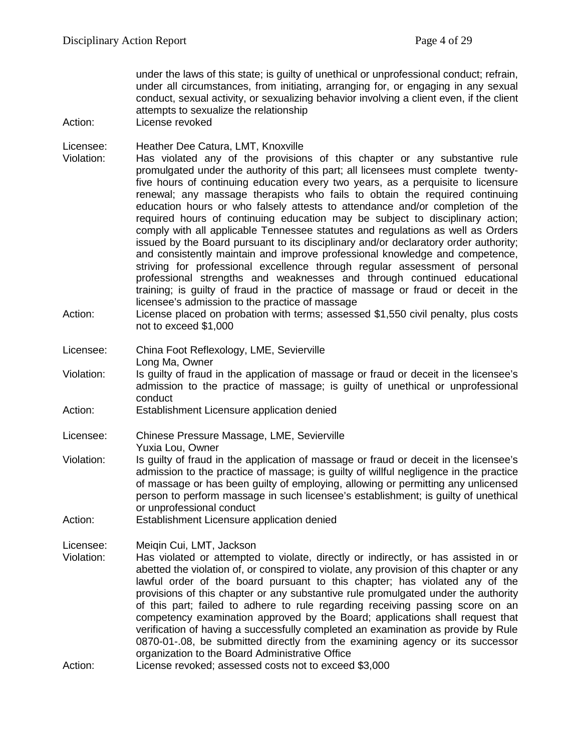under the laws of this state; is guilty of unethical or unprofessional conduct; refrain, under all circumstances, from initiating, arranging for, or engaging in any sexual conduct, sexual activity, or sexualizing behavior involving a client even, if the client attempts to sexualize the relationship

- Action: License revoked
- Licensee: Heather Dee Catura, LMT, Knoxville
- Violation: Has violated any of the provisions of this chapter or any substantive rule promulgated under the authority of this part; all licensees must complete twentyfive hours of continuing education every two years, as a perquisite to licensure renewal; any massage therapists who fails to obtain the required continuing education hours or who falsely attests to attendance and/or completion of the required hours of continuing education may be subject to disciplinary action; comply with all applicable Tennessee statutes and regulations as well as Orders issued by the Board pursuant to its disciplinary and/or declaratory order authority; and consistently maintain and improve professional knowledge and competence, striving for professional excellence through regular assessment of personal professional strengths and weaknesses and through continued educational training; is guilty of fraud in the practice of massage or fraud or deceit in the licensee's admission to the practice of massage
- Action: License placed on probation with terms; assessed \$1,550 civil penalty, plus costs not to exceed \$1,000
- Licensee: China Foot Reflexology, LME, Sevierville Long Ma, Owner
- Violation: Is guilty of fraud in the application of massage or fraud or deceit in the licensee's admission to the practice of massage; is guilty of unethical or unprofessional conduct
- Action: Establishment Licensure application denied

Licensee: Chinese Pressure Massage, LME, Sevierville Yuxia Lou, Owner

- Violation: Is guilty of fraud in the application of massage or fraud or deceit in the licensee's admission to the practice of massage; is guilty of willful negligence in the practice of massage or has been guilty of employing, allowing or permitting any unlicensed person to perform massage in such licensee's establishment; is guilty of unethical or unprofessional conduct
- Action: Establishment Licensure application denied
- Licensee: Meiqin Cui, LMT, Jackson
- Violation: Has violated or attempted to violate, directly or indirectly, or has assisted in or abetted the violation of, or conspired to violate, any provision of this chapter or any lawful order of the board pursuant to this chapter; has violated any of the provisions of this chapter or any substantive rule promulgated under the authority of this part; failed to adhere to rule regarding receiving passing score on an competency examination approved by the Board; applications shall request that verification of having a successfully completed an examination as provide by Rule 0870-01-.08, be submitted directly from the examining agency or its successor organization to the Board Administrative Office
- Action: License revoked; assessed costs not to exceed \$3,000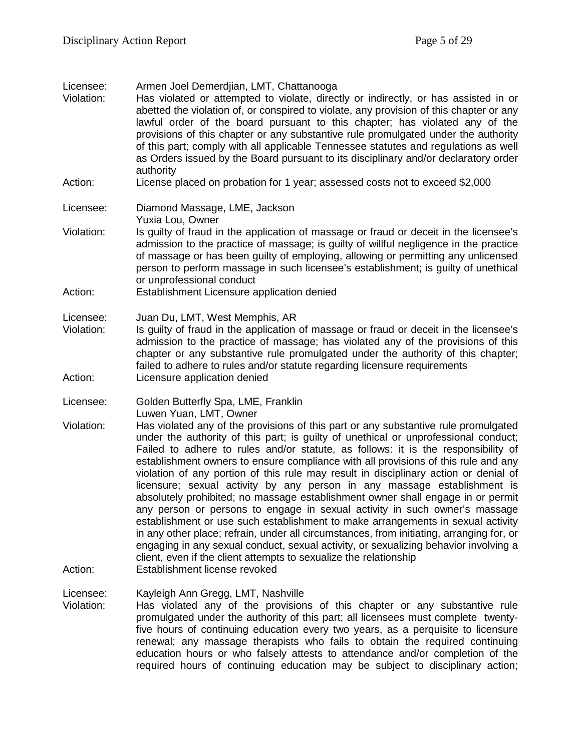- Licensee: Armen Joel Demerdjian, LMT, Chattanooga
- Violation: Has violated or attempted to violate, directly or indirectly, or has assisted in or abetted the violation of, or conspired to violate, any provision of this chapter or any lawful order of the board pursuant to this chapter; has violated any of the provisions of this chapter or any substantive rule promulgated under the authority of this part; comply with all applicable Tennessee statutes and regulations as well as Orders issued by the Board pursuant to its disciplinary and/or declaratory order authority
- Action: License placed on probation for 1 year; assessed costs not to exceed \$2,000

```
Licensee: Diamond Massage, LME, Jackson
```
- Yuxia Lou, Owner
- Violation: Is guilty of fraud in the application of massage or fraud or deceit in the licensee's admission to the practice of massage; is guilty of willful negligence in the practice of massage or has been guilty of employing, allowing or permitting any unlicensed person to perform massage in such licensee's establishment; is guilty of unethical or unprofessional conduct
- Action: Establishment Licensure application denied
- Licensee: Juan Du, LMT, West Memphis, AR<br>Violation: Is quilty of fraud in the application
- Is guilty of fraud in the application of massage or fraud or deceit in the licensee's admission to the practice of massage; has violated any of the provisions of this chapter or any substantive rule promulgated under the authority of this chapter; failed to adhere to rules and/or statute regarding licensure requirements Action: Licensure application denied
- Licensee: Golden Butterfly Spa, LME, Franklin Luwen Yuan, LMT, Owner
- Violation: Has violated any of the provisions of this part or any substantive rule promulgated under the authority of this part; is guilty of unethical or unprofessional conduct; Failed to adhere to rules and/or statute, as follows: it is the responsibility of establishment owners to ensure compliance with all provisions of this rule and any violation of any portion of this rule may result in disciplinary action or denial of licensure; sexual activity by any person in any massage establishment is absolutely prohibited; no massage establishment owner shall engage in or permit any person or persons to engage in sexual activity in such owner's massage establishment or use such establishment to make arrangements in sexual activity in any other place; refrain, under all circumstances, from initiating, arranging for, or engaging in any sexual conduct, sexual activity, or sexualizing behavior involving a client, even if the client attempts to sexualize the relationship Action: Establishment license revoked
- Licensee: Kayleigh Ann Gregg, LMT, Nashville<br>Violation: Has violated any of the provision Has violated any of the provisions of this chapter or any substantive rule promulgated under the authority of this part; all licensees must complete twentyfive hours of continuing education every two years, as a perquisite to licensure renewal; any massage therapists who fails to obtain the required continuing education hours or who falsely attests to attendance and/or completion of the required hours of continuing education may be subject to disciplinary action;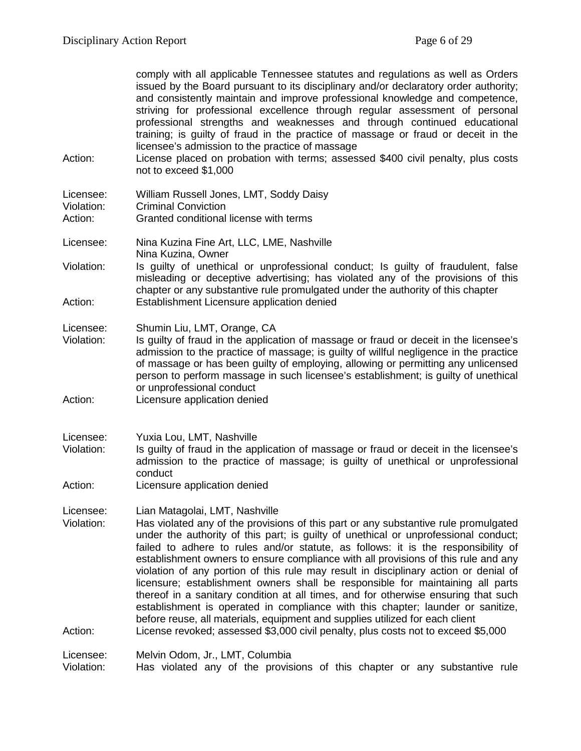comply with all applicable Tennessee statutes and regulations as well as Orders issued by the Board pursuant to its disciplinary and/or declaratory order authority; and consistently maintain and improve professional knowledge and competence, striving for professional excellence through regular assessment of personal professional strengths and weaknesses and through continued educational training; is guilty of fraud in the practice of massage or fraud or deceit in the licensee's admission to the practice of massage

Action: License placed on probation with terms; assessed \$400 civil penalty, plus costs not to exceed \$1,000

| Licensee:  | William Russell Jones, LMT, Soddy Daisy |
|------------|-----------------------------------------|
| Violation: | <b>Criminal Conviction</b>              |
| Action:    | Granted conditional license with terms  |

- Licensee: Nina Kuzina Fine Art, LLC, LME, Nashville Nina Kuzina, Owner
- Violation: Is guilty of unethical or unprofessional conduct; Is guilty of fraudulent, false misleading or deceptive advertising; has violated any of the provisions of this chapter or any substantive rule promulgated under the authority of this chapter Action: Establishment Licensure application denied
- Licensee: Shumin Liu, LMT, Orange, CA
- Violation: Is guilty of fraud in the application of massage or fraud or deceit in the licensee's admission to the practice of massage; is guilty of willful negligence in the practice of massage or has been guilty of employing, allowing or permitting any unlicensed person to perform massage in such licensee's establishment; is guilty of unethical or unprofessional conduct
- Action: Licensure application denied
- Licensee: Yuxia Lou, LMT, Nashville
- Violation: Is guilty of fraud in the application of massage or fraud or deceit in the licensee's admission to the practice of massage; is guilty of unethical or unprofessional conduct
- Action: Licensure application denied
- Licensee: Lian Matagolai, LMT, Nashville
- Violation: Has violated any of the provisions of this part or any substantive rule promulgated under the authority of this part; is guilty of unethical or unprofessional conduct; failed to adhere to rules and/or statute, as follows: it is the responsibility of establishment owners to ensure compliance with all provisions of this rule and any violation of any portion of this rule may result in disciplinary action or denial of licensure; establishment owners shall be responsible for maintaining all parts thereof in a sanitary condition at all times, and for otherwise ensuring that such establishment is operated in compliance with this chapter; launder or sanitize, before reuse, all materials, equipment and supplies utilized for each client Action: License revoked; assessed \$3,000 civil penalty, plus costs not to exceed \$5,000

Licensee: Melvin Odom, Jr., LMT, Columbia

Violation: Has violated any of the provisions of this chapter or any substantive rule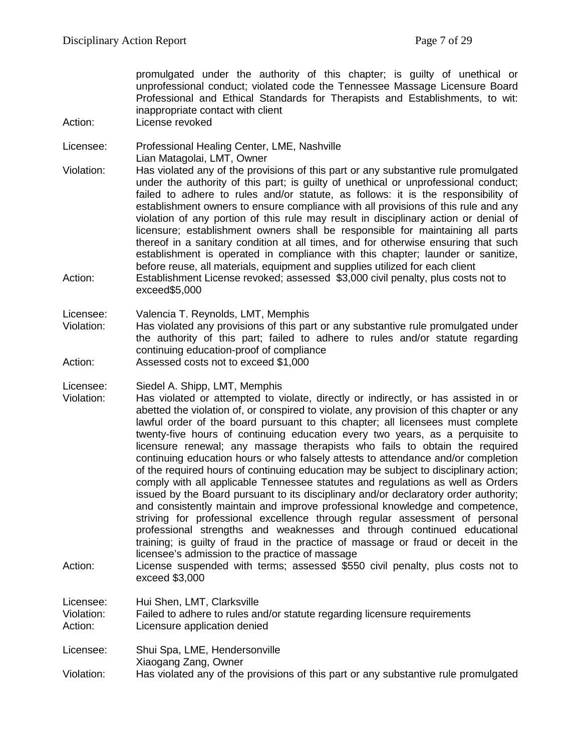promulgated under the authority of this chapter; is guilty of unethical or unprofessional conduct; violated code the Tennessee Massage Licensure Board Professional and Ethical Standards for Therapists and Establishments, to wit: inappropriate contact with client

- Action: License revoked
- Licensee: Professional Healing Center, LME, Nashville Lian Matagolai, LMT, Owner
- Violation: Has violated any of the provisions of this part or any substantive rule promulgated under the authority of this part; is guilty of unethical or unprofessional conduct; failed to adhere to rules and/or statute, as follows: it is the responsibility of establishment owners to ensure compliance with all provisions of this rule and any violation of any portion of this rule may result in disciplinary action or denial of licensure; establishment owners shall be responsible for maintaining all parts thereof in a sanitary condition at all times, and for otherwise ensuring that such establishment is operated in compliance with this chapter; launder or sanitize, before reuse, all materials, equipment and supplies utilized for each client Action: Establishment License revoked; assessed \$3,000 civil penalty, plus costs not to
- Licensee: Valencia T. Reynolds, LMT, Memphis

exceed\$5,000

- Violation: Has violated any provisions of this part or any substantive rule promulgated under the authority of this part; failed to adhere to rules and/or statute regarding continuing education-proof of compliance
- Action: Assessed costs not to exceed \$1,000
- Licensee: Siedel A. Shipp, LMT, Memphis
- Violation: Has violated or attempted to violate, directly or indirectly, or has assisted in or abetted the violation of, or conspired to violate, any provision of this chapter or any lawful order of the board pursuant to this chapter; all licensees must complete twenty-five hours of continuing education every two years, as a perquisite to licensure renewal; any massage therapists who fails to obtain the required continuing education hours or who falsely attests to attendance and/or completion of the required hours of continuing education may be subject to disciplinary action; comply with all applicable Tennessee statutes and regulations as well as Orders issued by the Board pursuant to its disciplinary and/or declaratory order authority; and consistently maintain and improve professional knowledge and competence, striving for professional excellence through regular assessment of personal professional strengths and weaknesses and through continued educational training; is guilty of fraud in the practice of massage or fraud or deceit in the licensee's admission to the practice of massage
- Action: License suspended with terms; assessed \$550 civil penalty, plus costs not to exceed \$3,000

Licensee: Hui Shen, LMT, Clarksville Violation: Failed to adhere to rules and/or statute regarding licensure requirements<br>Action: Licensure application denied Licensure application denied

Licensee: Shui Spa, LME, Hendersonville Xiaogang Zang, Owner Violation: Has violated any of the provisions of this part or any substantive rule promulgated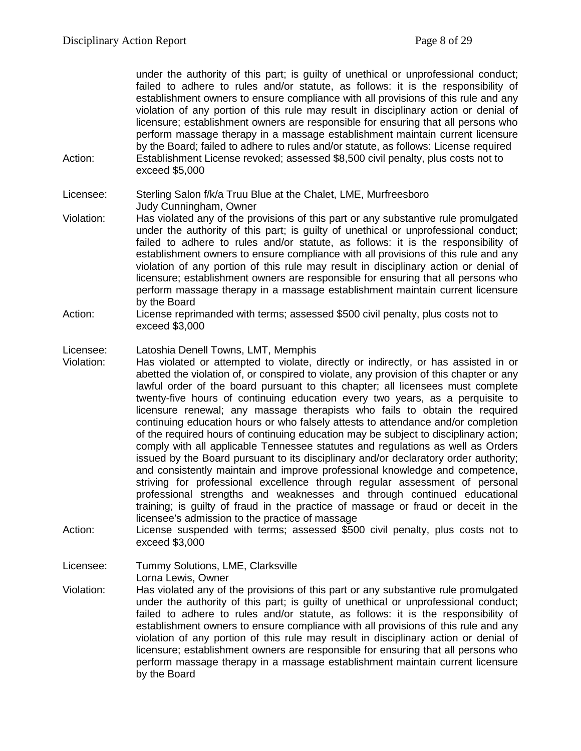under the authority of this part; is guilty of unethical or unprofessional conduct; failed to adhere to rules and/or statute, as follows: it is the responsibility of establishment owners to ensure compliance with all provisions of this rule and any violation of any portion of this rule may result in disciplinary action or denial of licensure; establishment owners are responsible for ensuring that all persons who perform massage therapy in a massage establishment maintain current licensure by the Board; failed to adhere to rules and/or statute, as follows: License required Action: Establishment License revoked; assessed \$8,500 civil penalty, plus costs not to exceed \$5,000

Licensee: Sterling Salon f/k/a Truu Blue at the Chalet, LME, Murfreesboro Judy Cunningham, Owner

- Violation: Has violated any of the provisions of this part or any substantive rule promulgated under the authority of this part; is guilty of unethical or unprofessional conduct; failed to adhere to rules and/or statute, as follows: it is the responsibility of establishment owners to ensure compliance with all provisions of this rule and any violation of any portion of this rule may result in disciplinary action or denial of licensure; establishment owners are responsible for ensuring that all persons who perform massage therapy in a massage establishment maintain current licensure by the Board
- Action: License reprimanded with terms; assessed \$500 civil penalty, plus costs not to exceed \$3,000

# Licensee: Latoshia Denell Towns, LMT, Memphis<br>Violation: Has violated or attempted to violate.

- Has violated or attempted to violate, directly or indirectly, or has assisted in or abetted the violation of, or conspired to violate, any provision of this chapter or any lawful order of the board pursuant to this chapter; all licensees must complete twenty-five hours of continuing education every two years, as a perquisite to licensure renewal; any massage therapists who fails to obtain the required continuing education hours or who falsely attests to attendance and/or completion of the required hours of continuing education may be subject to disciplinary action; comply with all applicable Tennessee statutes and regulations as well as Orders issued by the Board pursuant to its disciplinary and/or declaratory order authority; and consistently maintain and improve professional knowledge and competence, striving for professional excellence through regular assessment of personal professional strengths and weaknesses and through continued educational training; is guilty of fraud in the practice of massage or fraud or deceit in the licensee's admission to the practice of massage
- Action: License suspended with terms; assessed \$500 civil penalty, plus costs not to exceed \$3,000

Licensee: Tummy Solutions, LME, Clarksville Lorna Lewis, Owner

Violation: Has violated any of the provisions of this part or any substantive rule promulgated under the authority of this part; is guilty of unethical or unprofessional conduct; failed to adhere to rules and/or statute, as follows: it is the responsibility of establishment owners to ensure compliance with all provisions of this rule and any violation of any portion of this rule may result in disciplinary action or denial of licensure; establishment owners are responsible for ensuring that all persons who perform massage therapy in a massage establishment maintain current licensure by the Board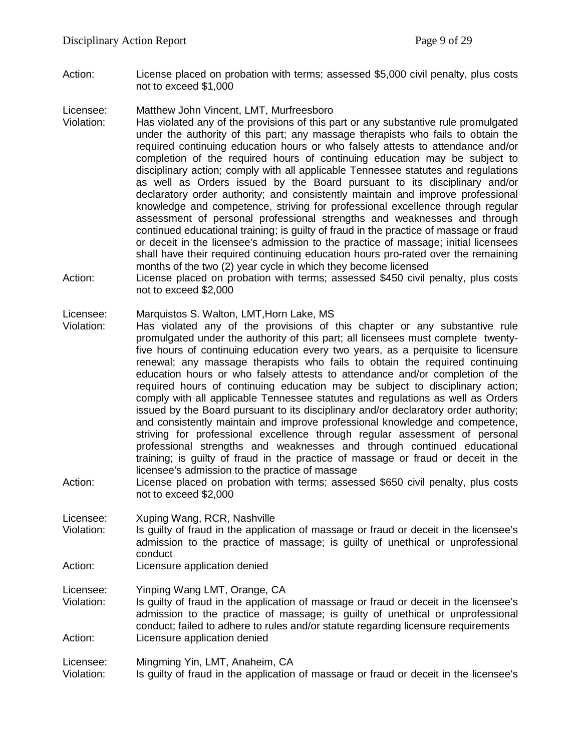Action: License placed on probation with terms; assessed \$5,000 civil penalty, plus costs not to exceed \$1,000

Licensee: Matthew John Vincent, LMT, Murfreesboro

- Violation: Has violated any of the provisions of this part or any substantive rule promulgated under the authority of this part; any massage therapists who fails to obtain the required continuing education hours or who falsely attests to attendance and/or completion of the required hours of continuing education may be subject to disciplinary action; comply with all applicable Tennessee statutes and regulations as well as Orders issued by the Board pursuant to its disciplinary and/or declaratory order authority; and consistently maintain and improve professional knowledge and competence, striving for professional excellence through regular assessment of personal professional strengths and weaknesses and through continued educational training; is guilty of fraud in the practice of massage or fraud or deceit in the licensee's admission to the practice of massage; initial licensees shall have their required continuing education hours pro-rated over the remaining months of the two (2) year cycle in which they become licensed
- Action: License placed on probation with terms; assessed \$450 civil penalty, plus costs not to exceed \$2,000

#### Licensee: Marquistos S. Walton, LMT,Horn Lake, MS

- Violation: Has violated any of the provisions of this chapter or any substantive rule promulgated under the authority of this part; all licensees must complete twentyfive hours of continuing education every two years, as a perquisite to licensure renewal; any massage therapists who fails to obtain the required continuing education hours or who falsely attests to attendance and/or completion of the required hours of continuing education may be subject to disciplinary action; comply with all applicable Tennessee statutes and regulations as well as Orders issued by the Board pursuant to its disciplinary and/or declaratory order authority; and consistently maintain and improve professional knowledge and competence, striving for professional excellence through regular assessment of personal professional strengths and weaknesses and through continued educational training; is guilty of fraud in the practice of massage or fraud or deceit in the licensee's admission to the practice of massage
- Action: License placed on probation with terms; assessed \$650 civil penalty, plus costs not to exceed \$2,000

Licensee: Xuping Wang, RCR, Nashville<br>Violation: Is quilty of fraud in the applica

- Is guilty of fraud in the application of massage or fraud or deceit in the licensee's admission to the practice of massage; is guilty of unethical or unprofessional conduct
- Action: Licensure application denied

Licensee: Yinping Wang LMT, Orange, CA

Violation: Is guilty of fraud in the application of massage or fraud or deceit in the licensee's admission to the practice of massage; is guilty of unethical or unprofessional conduct; failed to adhere to rules and/or statute regarding licensure requirements Action: Licensure application denied

Licensee: Mingming Yin, LMT, Anaheim, CA

Violation: Is guilty of fraud in the application of massage or fraud or deceit in the licensee's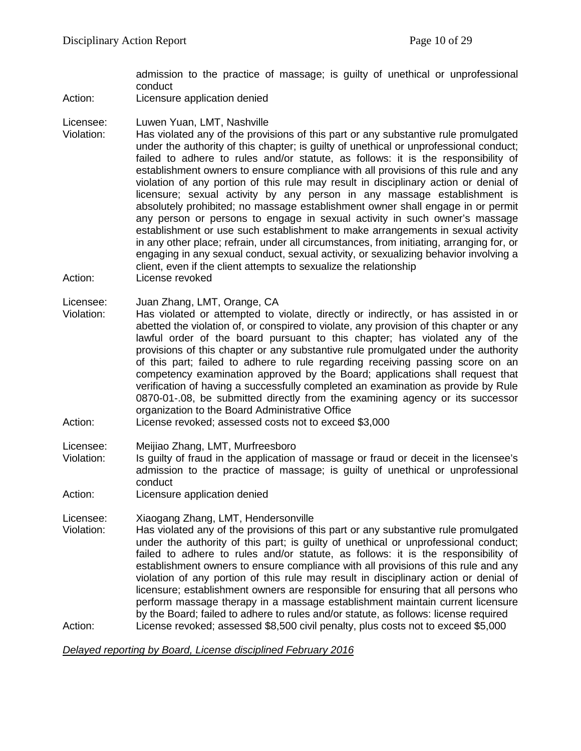admission to the practice of massage; is guilty of unethical or unprofessional conduct

Action: Licensure application denied

Licensee: Luwen Yuan, LMT, Nashville

Violation: Has violated any of the provisions of this part or any substantive rule promulgated under the authority of this chapter; is guilty of unethical or unprofessional conduct; failed to adhere to rules and/or statute, as follows: it is the responsibility of establishment owners to ensure compliance with all provisions of this rule and any violation of any portion of this rule may result in disciplinary action or denial of licensure; sexual activity by any person in any massage establishment is absolutely prohibited; no massage establishment owner shall engage in or permit any person or persons to engage in sexual activity in such owner's massage establishment or use such establishment to make arrangements in sexual activity in any other place; refrain, under all circumstances, from initiating, arranging for, or engaging in any sexual conduct, sexual activity, or sexualizing behavior involving a client, even if the client attempts to sexualize the relationship Action: License revoked

Licensee: Juan Zhang, LMT, Orange, CA

- Violation: Has violated or attempted to violate, directly or indirectly, or has assisted in or abetted the violation of, or conspired to violate, any provision of this chapter or any lawful order of the board pursuant to this chapter; has violated any of the provisions of this chapter or any substantive rule promulgated under the authority of this part; failed to adhere to rule regarding receiving passing score on an competency examination approved by the Board; applications shall request that verification of having a successfully completed an examination as provide by Rule 0870-01-.08, be submitted directly from the examining agency or its successor organization to the Board Administrative Office
- Action: License revoked; assessed costs not to exceed \$3,000
- Licensee: Meijiao Zhang, LMT, Murfreesboro
- Violation: Is guilty of fraud in the application of massage or fraud or deceit in the licensee's admission to the practice of massage; is guilty of unethical or unprofessional conduct
- Action: Licensure application denied

Licensee: Xiaogang Zhang, LMT, Hendersonville

Has violated any of the provisions of this part or any substantive rule promulgated under the authority of this part; is guilty of unethical or unprofessional conduct; failed to adhere to rules and/or statute, as follows: it is the responsibility of establishment owners to ensure compliance with all provisions of this rule and any violation of any portion of this rule may result in disciplinary action or denial of licensure; establishment owners are responsible for ensuring that all persons who perform massage therapy in a massage establishment maintain current licensure by the Board; failed to adhere to rules and/or statute, as follows: license required Action: License revoked; assessed \$8,500 civil penalty, plus costs not to exceed \$5,000

*Delayed reporting by Board, License disciplined February 2016*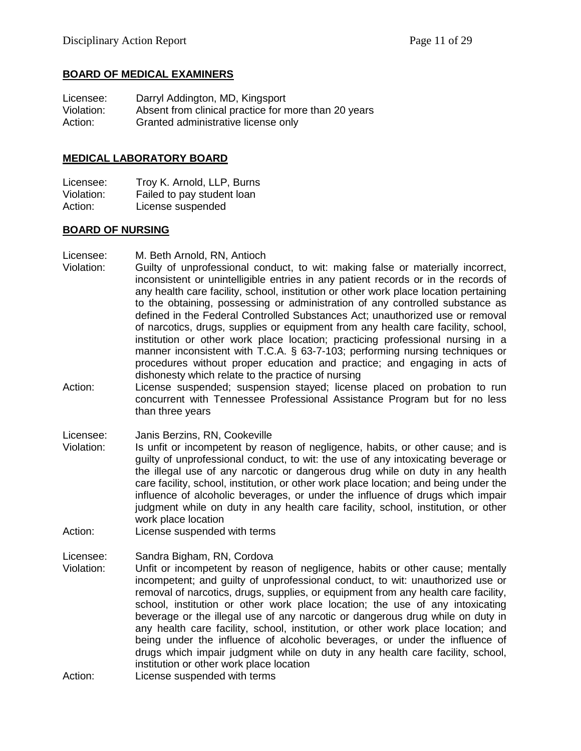#### **BOARD OF MEDICAL EXAMINERS**

| Licensee:  | Darryl Addington, MD, Kingsport                      |
|------------|------------------------------------------------------|
| Violation: | Absent from clinical practice for more than 20 years |
| Action:    | Granted administrative license only                  |

#### **MEDICAL LABORATORY BOARD**

Licensee: Troy K. Arnold, LLP, Burns<br>Violation: Failed to pay student loan Failed to pay student loan Action: License suspended

#### **BOARD OF NURSING**

Licensee: M. Beth Arnold, RN, Antioch

- Violation: Guilty of unprofessional conduct, to wit: making false or materially incorrect, inconsistent or unintelligible entries in any patient records or in the records of any health care facility, school, institution or other work place location pertaining to the obtaining, possessing or administration of any controlled substance as defined in the Federal Controlled Substances Act; unauthorized use or removal of narcotics, drugs, supplies or equipment from any health care facility, school, institution or other work place location; practicing professional nursing in a manner inconsistent with T.C.A. § 63-7-103; performing nursing techniques or procedures without proper education and practice; and engaging in acts of dishonesty which relate to the practice of nursing
- Action: License suspended; suspension stayed; license placed on probation to run concurrent with Tennessee Professional Assistance Program but for no less than three years

Licensee: Janis Berzins, RN, Cookeville

- Violation: Is unfit or incompetent by reason of negligence, habits, or other cause; and is guilty of unprofessional conduct, to wit: the use of any intoxicating beverage or the illegal use of any narcotic or dangerous drug while on duty in any health care facility, school, institution, or other work place location; and being under the influence of alcoholic beverages, or under the influence of drugs which impair judgment while on duty in any health care facility, school, institution, or other work place location
- Action: License suspended with terms

Licensee: Sandra Bigham, RN, Cordova

- Violation: Unfit or incompetent by reason of negligence, habits or other cause; mentally incompetent; and guilty of unprofessional conduct, to wit: unauthorized use or removal of narcotics, drugs, supplies, or equipment from any health care facility, school, institution or other work place location; the use of any intoxicating beverage or the illegal use of any narcotic or dangerous drug while on duty in any health care facility, school, institution, or other work place location; and being under the influence of alcoholic beverages, or under the influence of drugs which impair judgment while on duty in any health care facility, school, institution or other work place location
- Action: License suspended with terms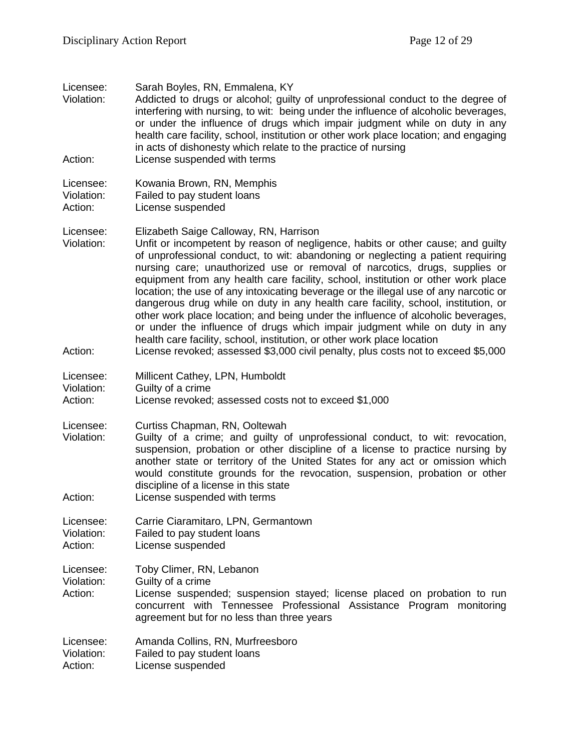| Licensee:<br>Violation:            | Sarah Boyles, RN, Emmalena, KY<br>Addicted to drugs or alcohol; guilty of unprofessional conduct to the degree of<br>interfering with nursing, to wit: being under the influence of alcoholic beverages,<br>or under the influence of drugs which impair judgment while on duty in any<br>health care facility, school, institution or other work place location; and engaging<br>in acts of dishonesty which relate to the practice of nursing                                                                                                                                                                                                                                                                                                                                                          |
|------------------------------------|----------------------------------------------------------------------------------------------------------------------------------------------------------------------------------------------------------------------------------------------------------------------------------------------------------------------------------------------------------------------------------------------------------------------------------------------------------------------------------------------------------------------------------------------------------------------------------------------------------------------------------------------------------------------------------------------------------------------------------------------------------------------------------------------------------|
| Action:                            | License suspended with terms                                                                                                                                                                                                                                                                                                                                                                                                                                                                                                                                                                                                                                                                                                                                                                             |
| Licensee:<br>Violation:<br>Action: | Kowania Brown, RN, Memphis<br>Failed to pay student loans<br>License suspended                                                                                                                                                                                                                                                                                                                                                                                                                                                                                                                                                                                                                                                                                                                           |
| Licensee:<br>Violation:            | Elizabeth Saige Calloway, RN, Harrison<br>Unfit or incompetent by reason of negligence, habits or other cause; and guilty<br>of unprofessional conduct, to wit: abandoning or neglecting a patient requiring<br>nursing care; unauthorized use or removal of narcotics, drugs, supplies or<br>equipment from any health care facility, school, institution or other work place<br>location; the use of any intoxicating beverage or the illegal use of any narcotic or<br>dangerous drug while on duty in any health care facility, school, institution, or<br>other work place location; and being under the influence of alcoholic beverages,<br>or under the influence of drugs which impair judgment while on duty in any<br>health care facility, school, institution, or other work place location |
| Action:                            | License revoked; assessed \$3,000 civil penalty, plus costs not to exceed \$5,000                                                                                                                                                                                                                                                                                                                                                                                                                                                                                                                                                                                                                                                                                                                        |
| Licensee:<br>Violation:<br>Action: | Millicent Cathey, LPN, Humboldt<br>Guilty of a crime<br>License revoked; assessed costs not to exceed \$1,000                                                                                                                                                                                                                                                                                                                                                                                                                                                                                                                                                                                                                                                                                            |
| Licensee:<br>Violation:            | Curtiss Chapman, RN, Ooltewah<br>Guilty of a crime; and guilty of unprofessional conduct, to wit: revocation,<br>suspension, probation or other discipline of a license to practice nursing by<br>another state or territory of the United States for any act or omission which<br>would constitute grounds for the revocation, suspension, probation or other<br>discipline of a license in this state                                                                                                                                                                                                                                                                                                                                                                                                  |
| Action:                            | License suspended with terms                                                                                                                                                                                                                                                                                                                                                                                                                                                                                                                                                                                                                                                                                                                                                                             |
| Licensee:<br>Violation:<br>Action: | Carrie Ciaramitaro, LPN, Germantown<br>Failed to pay student loans<br>License suspended                                                                                                                                                                                                                                                                                                                                                                                                                                                                                                                                                                                                                                                                                                                  |
| Licensee:<br>Violation:<br>Action: | Toby Climer, RN, Lebanon<br>Guilty of a crime<br>License suspended; suspension stayed; license placed on probation to run<br>concurrent with Tennessee Professional Assistance Program monitoring<br>agreement but for no less than three years                                                                                                                                                                                                                                                                                                                                                                                                                                                                                                                                                          |
| Licensee:<br>Violation:<br>Action: | Amanda Collins, RN, Murfreesboro<br>Failed to pay student loans<br>License suspended                                                                                                                                                                                                                                                                                                                                                                                                                                                                                                                                                                                                                                                                                                                     |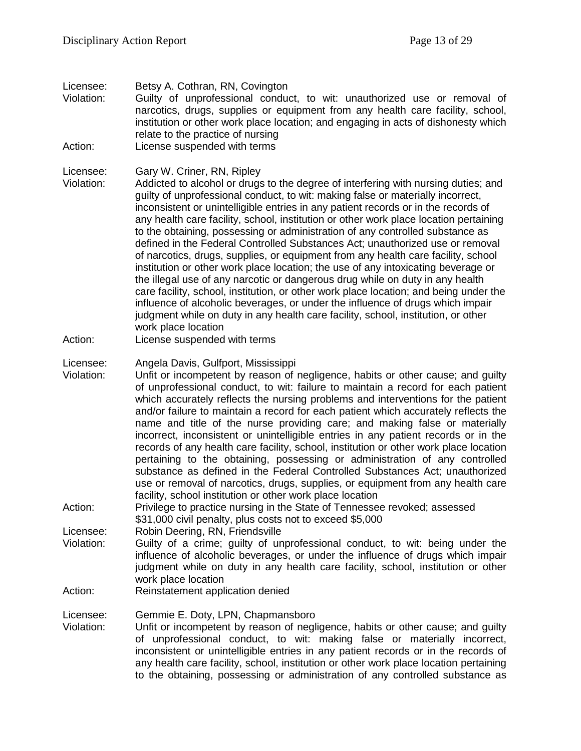Licensee: Betsy A. Cothran, RN, Covington Violation: Guilty of unprofessional conduct, to wit: unauthorized use or removal of narcotics, drugs, supplies or equipment from any health care facility, school, institution or other work place location; and engaging in acts of dishonesty which relate to the practice of nursing Action: License suspended with terms

- Licensee: Gary W. Criner, RN, Ripley
- Violation: Addicted to alcohol or drugs to the degree of interfering with nursing duties; and guilty of unprofessional conduct, to wit: making false or materially incorrect, inconsistent or unintelligible entries in any patient records or in the records of any health care facility, school, institution or other work place location pertaining to the obtaining, possessing or administration of any controlled substance as defined in the Federal Controlled Substances Act; unauthorized use or removal of narcotics, drugs, supplies, or equipment from any health care facility, school institution or other work place location; the use of any intoxicating beverage or the illegal use of any narcotic or dangerous drug while on duty in any health care facility, school, institution, or other work place location; and being under the influence of alcoholic beverages, or under the influence of drugs which impair judgment while on duty in any health care facility, school, institution, or other work place location
- Action: License suspended with terms
- Licensee: Angela Davis, Gulfport, Mississippi
- Violation: Unfit or incompetent by reason of negligence, habits or other cause; and guilty of unprofessional conduct, to wit: failure to maintain a record for each patient which accurately reflects the nursing problems and interventions for the patient and/or failure to maintain a record for each patient which accurately reflects the name and title of the nurse providing care; and making false or materially incorrect, inconsistent or unintelligible entries in any patient records or in the records of any health care facility, school, institution or other work place location pertaining to the obtaining, possessing or administration of any controlled substance as defined in the Federal Controlled Substances Act; unauthorized use or removal of narcotics, drugs, supplies, or equipment from any health care facility, school institution or other work place location
- Action: Privilege to practice nursing in the State of Tennessee revoked; assessed \$31,000 civil penalty, plus costs not to exceed \$5,000
- Licensee: Robin Deering, RN, Friendsville
- Violation: Guilty of a crime; guilty of unprofessional conduct, to wit: being under the influence of alcoholic beverages, or under the influence of drugs which impair judgment while on duty in any health care facility, school, institution or other work place location
- Action: Reinstatement application denied

Licensee: Gemmie E. Doty, LPN, Chapmansboro

Violation: Unfit or incompetent by reason of negligence, habits or other cause; and guilty of unprofessional conduct, to wit: making false or materially incorrect, inconsistent or unintelligible entries in any patient records or in the records of any health care facility, school, institution or other work place location pertaining to the obtaining, possessing or administration of any controlled substance as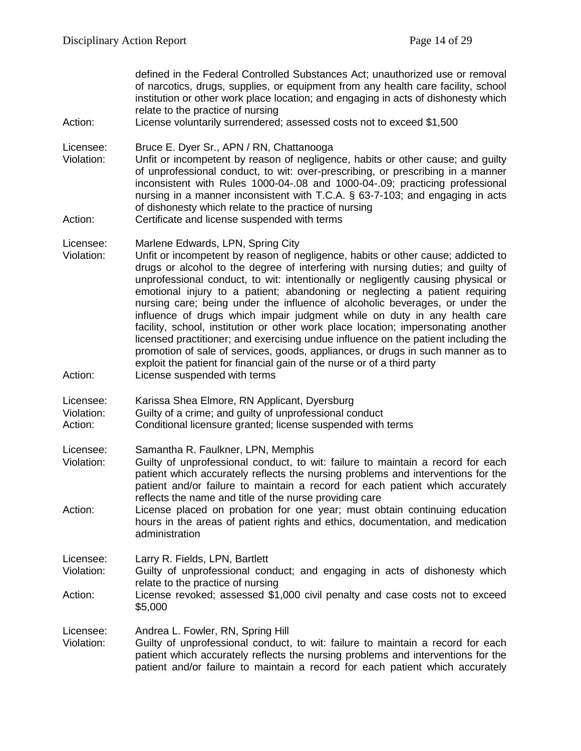defined in the Federal Controlled Substances Act; unauthorized use or removal of narcotics, drugs, supplies, or equipment from any health care facility, school institution or other work place location; and engaging in acts of dishonesty which relate to the practice of nursing

Action: License voluntarily surrendered; assessed costs not to exceed \$1,500

Licensee: Bruce E. Dyer Sr., APN / RN, Chattanooga

Violation: Unfit or incompetent by reason of negligence, habits or other cause; and guilty of unprofessional conduct, to wit: over-prescribing, or prescribing in a manner inconsistent with Rules 1000-04-.08 and 1000-04-.09; practicing professional nursing in a manner inconsistent with T.C.A. § 63-7-103; and engaging in acts of dishonesty which relate to the practice of nursing Action: Certificate and license suspended with terms

Licensee: Marlene Edwards, LPN, Spring City

- Violation: Unfit or incompetent by reason of negligence, habits or other cause; addicted to drugs or alcohol to the degree of interfering with nursing duties; and guilty of unprofessional conduct, to wit: intentionally or negligently causing physical or emotional injury to a patient; abandoning or neglecting a patient requiring nursing care; being under the influence of alcoholic beverages, or under the influence of drugs which impair judgment while on duty in any health care facility, school, institution or other work place location; impersonating another licensed practitioner; and exercising undue influence on the patient including the promotion of sale of services, goods, appliances, or drugs in such manner as to exploit the patient for financial gain of the nurse or of a third party Action: License suspended with terms
- Licensee: Karissa Shea Elmore, RN Applicant, Dyersburg
- Violation: Guilty of a crime; and guilty of unprofessional conduct
- Action: Conditional licensure granted; license suspended with terms

Licensee: Samantha R. Faulkner, LPN, Memphis

- Violation: Guilty of unprofessional conduct, to wit: failure to maintain a record for each patient which accurately reflects the nursing problems and interventions for the patient and/or failure to maintain a record for each patient which accurately reflects the name and title of the nurse providing care
- Action: License placed on probation for one year; must obtain continuing education hours in the areas of patient rights and ethics, documentation, and medication administration

Licensee: Larry R. Fields, LPN, Bartlett

- Violation: Guilty of unprofessional conduct; and engaging in acts of dishonesty which relate to the practice of nursing
- Action: License revoked; assessed \$1,000 civil penalty and case costs not to exceed \$5,000

Licensee: Andrea L. Fowler, RN, Spring Hill

Violation: Guilty of unprofessional conduct, to wit: failure to maintain a record for each patient which accurately reflects the nursing problems and interventions for the patient and/or failure to maintain a record for each patient which accurately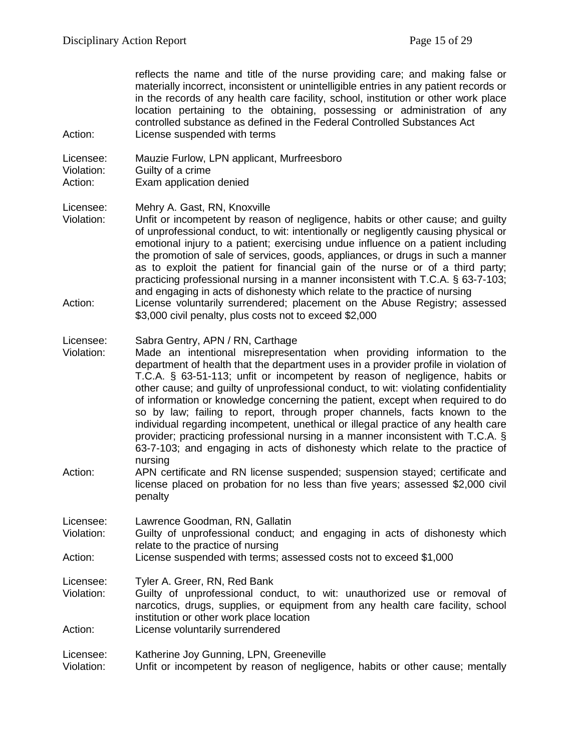reflects the name and title of the nurse providing care; and making false or materially incorrect, inconsistent or unintelligible entries in any patient records or in the records of any health care facility, school, institution or other work place location pertaining to the obtaining, possessing or administration of any controlled substance as defined in the Federal Controlled Substances Act Action: License suspended with terms

Licensee: Mauzie Furlow, LPN applicant, Murfreesboro

Violation: Guilty of a crime<br>Action: Exam application Exam application denied

Licensee: Mehry A. Gast, RN, Knoxville

Unfit or incompetent by reason of negligence, habits or other cause; and guilty of unprofessional conduct, to wit: intentionally or negligently causing physical or emotional injury to a patient; exercising undue influence on a patient including the promotion of sale of services, goods, appliances, or drugs in such a manner as to exploit the patient for financial gain of the nurse or of a third party; practicing professional nursing in a manner inconsistent with T.C.A. § 63-7-103; and engaging in acts of dishonesty which relate to the practice of nursing Action: License voluntarily surrendered; placement on the Abuse Registry; assessed \$3,000 civil penalty, plus costs not to exceed \$2,000

#### Licensee: Sabra Gentry, APN / RN, Carthage

Violation: Made an intentional misrepresentation when providing information to the department of health that the department uses in a provider profile in violation of T.C.A. § 63-51-113; unfit or incompetent by reason of negligence, habits or other cause; and guilty of unprofessional conduct, to wit: violating confidentiality of information or knowledge concerning the patient, except when required to do so by law; failing to report, through proper channels, facts known to the individual regarding incompetent, unethical or illegal practice of any health care provider; practicing professional nursing in a manner inconsistent with T.C.A. § 63-7-103; and engaging in acts of dishonesty which relate to the practice of nursing

Action: APN certificate and RN license suspended; suspension stayed; certificate and license placed on probation for no less than five years; assessed \$2,000 civil penalty

| Licensee: |  | Lawrence Goodman, RN, Gallatin |  |  |
|-----------|--|--------------------------------|--|--|
|-----------|--|--------------------------------|--|--|

- Violation: Guilty of unprofessional conduct; and engaging in acts of dishonesty which relate to the practice of nursing
- Action: License suspended with terms; assessed costs not to exceed \$1,000

Licensee: Tyler A. Greer, RN, Red Bank

- Violation: Guilty of unprofessional conduct, to wit: unauthorized use or removal of narcotics, drugs, supplies, or equipment from any health care facility, school institution or other work place location
- Action: License voluntarily surrendered

Licensee: Katherine Joy Gunning, LPN, Greeneville Violation: Unfit or incompetent by reason of negligence, habits or other cause; mentally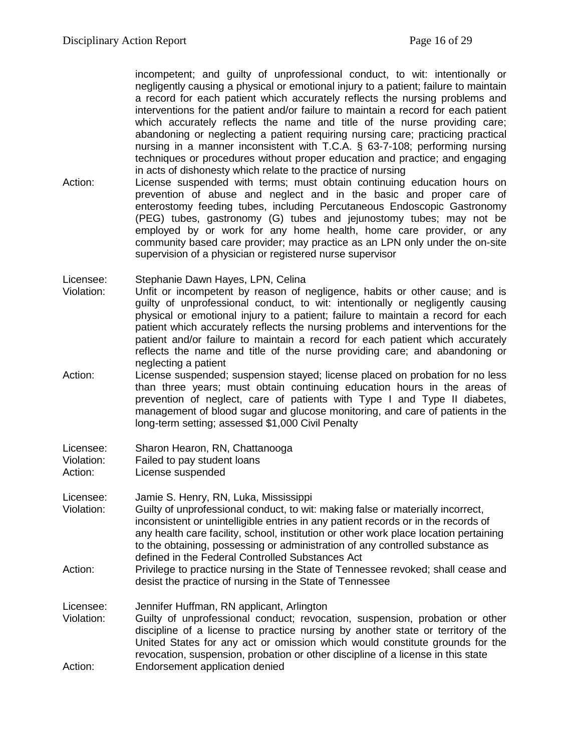incompetent; and guilty of unprofessional conduct, to wit: intentionally or negligently causing a physical or emotional injury to a patient; failure to maintain a record for each patient which accurately reflects the nursing problems and interventions for the patient and/or failure to maintain a record for each patient which accurately reflects the name and title of the nurse providing care; abandoning or neglecting a patient requiring nursing care; practicing practical nursing in a manner inconsistent with T.C.A. § 63-7-108; performing nursing techniques or procedures without proper education and practice; and engaging in acts of dishonesty which relate to the practice of nursing

Action: License suspended with terms; must obtain continuing education hours on prevention of abuse and neglect and in the basic and proper care of enterostomy feeding tubes, including Percutaneous Endoscopic Gastronomy (PEG) tubes, gastronomy (G) tubes and jejunostomy tubes; may not be employed by or work for any home health, home care provider, or any community based care provider; may practice as an LPN only under the on-site supervision of a physician or registered nurse supervisor

Licensee: Stephanie Dawn Hayes, LPN, Celina

- Violation: Unfit or incompetent by reason of negligence, habits or other cause; and is guilty of unprofessional conduct, to wit: intentionally or negligently causing physical or emotional injury to a patient; failure to maintain a record for each patient which accurately reflects the nursing problems and interventions for the patient and/or failure to maintain a record for each patient which accurately reflects the name and title of the nurse providing care; and abandoning or neglecting a patient
- Action: License suspended; suspension stayed; license placed on probation for no less than three years; must obtain continuing education hours in the areas of prevention of neglect, care of patients with Type I and Type II diabetes, management of blood sugar and glucose monitoring, and care of patients in the long-term setting; assessed \$1,000 Civil Penalty

- Action: License suspended
- Licensee: Jamie S. Henry, RN, Luka, Mississippi
- Violation: Guilty of unprofessional conduct, to wit: making false or materially incorrect, inconsistent or unintelligible entries in any patient records or in the records of any health care facility, school, institution or other work place location pertaining to the obtaining, possessing or administration of any controlled substance as defined in the Federal Controlled Substances Act
- Action: Privilege to practice nursing in the State of Tennessee revoked; shall cease and desist the practice of nursing in the State of Tennessee
- Licensee: Jennifer Huffman, RN applicant, Arlington Violation: Guilty of unprofessional conduct; revocation, suspension, probation or other discipline of a license to practice nursing by another state or territory of the United States for any act or omission which would constitute grounds for the revocation, suspension, probation or other discipline of a license in this state
- Action: Endorsement application denied

Licensee: Sharon Hearon, RN, Chattanooga<br>Violation: Failed to pay student loans Failed to pay student loans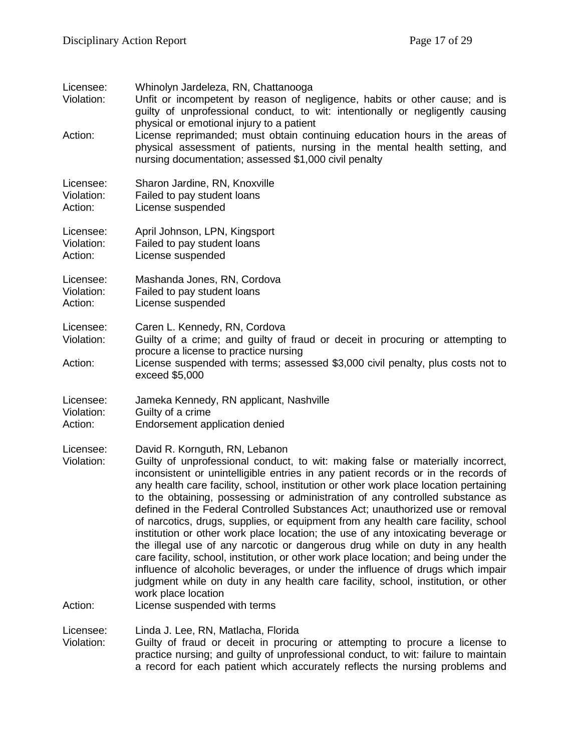| Licensee:<br>Violation:<br>Action: | Whinolyn Jardeleza, RN, Chattanooga<br>Unfit or incompetent by reason of negligence, habits or other cause; and is<br>guilty of unprofessional conduct, to wit: intentionally or negligently causing<br>physical or emotional injury to a patient<br>License reprimanded; must obtain continuing education hours in the areas of<br>physical assessment of patients, nursing in the mental health setting, and<br>nursing documentation; assessed \$1,000 civil penalty                                                                                                                                                                                                                                                                                                                                                                                                                                                                                                                                              |
|------------------------------------|----------------------------------------------------------------------------------------------------------------------------------------------------------------------------------------------------------------------------------------------------------------------------------------------------------------------------------------------------------------------------------------------------------------------------------------------------------------------------------------------------------------------------------------------------------------------------------------------------------------------------------------------------------------------------------------------------------------------------------------------------------------------------------------------------------------------------------------------------------------------------------------------------------------------------------------------------------------------------------------------------------------------|
| Licensee:<br>Violation:<br>Action: | Sharon Jardine, RN, Knoxville<br>Failed to pay student loans<br>License suspended                                                                                                                                                                                                                                                                                                                                                                                                                                                                                                                                                                                                                                                                                                                                                                                                                                                                                                                                    |
| Licensee:<br>Violation:<br>Action: | April Johnson, LPN, Kingsport<br>Failed to pay student loans<br>License suspended                                                                                                                                                                                                                                                                                                                                                                                                                                                                                                                                                                                                                                                                                                                                                                                                                                                                                                                                    |
| Licensee:<br>Violation:<br>Action: | Mashanda Jones, RN, Cordova<br>Failed to pay student loans<br>License suspended                                                                                                                                                                                                                                                                                                                                                                                                                                                                                                                                                                                                                                                                                                                                                                                                                                                                                                                                      |
| Licensee:<br>Violation:            | Caren L. Kennedy, RN, Cordova<br>Guilty of a crime; and guilty of fraud or deceit in procuring or attempting to<br>procure a license to practice nursing                                                                                                                                                                                                                                                                                                                                                                                                                                                                                                                                                                                                                                                                                                                                                                                                                                                             |
| Action:                            | License suspended with terms; assessed \$3,000 civil penalty, plus costs not to<br>exceed \$5,000                                                                                                                                                                                                                                                                                                                                                                                                                                                                                                                                                                                                                                                                                                                                                                                                                                                                                                                    |
| Licensee:<br>Violation:<br>Action: | Jameka Kennedy, RN applicant, Nashville<br>Guilty of a crime<br>Endorsement application denied                                                                                                                                                                                                                                                                                                                                                                                                                                                                                                                                                                                                                                                                                                                                                                                                                                                                                                                       |
| Licensee:<br>Violation:            | David R. Kornguth, RN, Lebanon<br>Guilty of unprofessional conduct, to wit: making false or materially incorrect,<br>inconsistent or unintelligible entries in any patient records or in the records of<br>any health care facility, school, institution or other work place location pertaining<br>to the obtaining, possessing or administration of any controlled substance as<br>defined in the Federal Controlled Substances Act; unauthorized use or removal<br>of narcotics, drugs, supplies, or equipment from any health care facility, school<br>institution or other work place location; the use of any intoxicating beverage or<br>the illegal use of any narcotic or dangerous drug while on duty in any health<br>care facility, school, institution, or other work place location; and being under the<br>influence of alcoholic beverages, or under the influence of drugs which impair<br>judgment while on duty in any health care facility, school, institution, or other<br>work place location |
| Action:                            | License suspended with terms                                                                                                                                                                                                                                                                                                                                                                                                                                                                                                                                                                                                                                                                                                                                                                                                                                                                                                                                                                                         |
| Licensee:<br>Violation:            | Linda J. Lee, RN, Matlacha, Florida<br>Guilty of fraud or deceit in procuring or attempting to procure a license to<br>practice nursing; and guilty of unprofessional conduct, to wit: failure to maintain                                                                                                                                                                                                                                                                                                                                                                                                                                                                                                                                                                                                                                                                                                                                                                                                           |

a record for each patient which accurately reflects the nursing problems and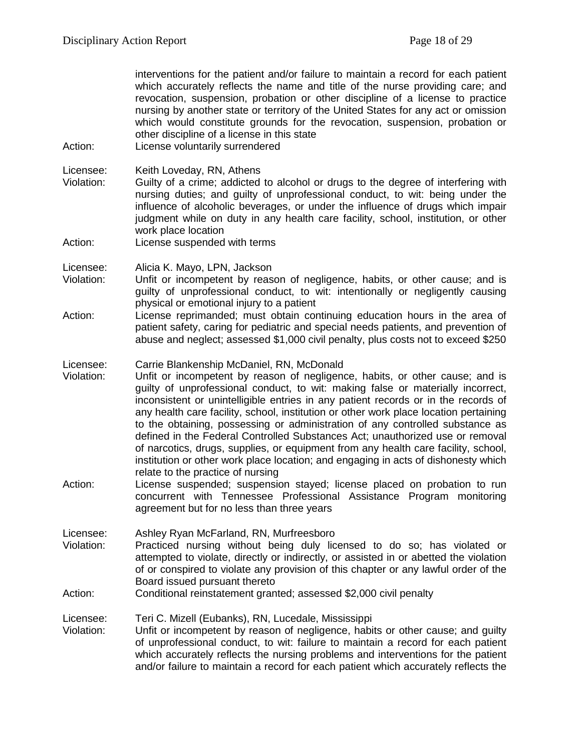interventions for the patient and/or failure to maintain a record for each patient which accurately reflects the name and title of the nurse providing care; and revocation, suspension, probation or other discipline of a license to practice nursing by another state or territory of the United States for any act or omission which would constitute grounds for the revocation, suspension, probation or other discipline of a license in this state

Action: License voluntarily surrendered

Licensee: Keith Loveday, RN, Athens<br>Violation: Guilty of a crime: addicted

- Guilty of a crime; addicted to alcohol or drugs to the degree of interfering with nursing duties; and guilty of unprofessional conduct, to wit: being under the influence of alcoholic beverages, or under the influence of drugs which impair judgment while on duty in any health care facility, school, institution, or other work place location
- Action: License suspended with terms

Licensee: Alicia K. Mayo, LPN, Jackson

- Violation: Unfit or incompetent by reason of negligence, habits, or other cause; and is guilty of unprofessional conduct, to wit: intentionally or negligently causing physical or emotional injury to a patient
- Action: License reprimanded; must obtain continuing education hours in the area of patient safety, caring for pediatric and special needs patients, and prevention of abuse and neglect; assessed \$1,000 civil penalty, plus costs not to exceed \$250

Licensee: Carrie Blankenship McDaniel, RN, McDonald<br>Violation: Unfit or incompetent by reason of negligeng

- Unfit or incompetent by reason of negligence, habits, or other cause; and is guilty of unprofessional conduct, to wit: making false or materially incorrect, inconsistent or unintelligible entries in any patient records or in the records of any health care facility, school, institution or other work place location pertaining to the obtaining, possessing or administration of any controlled substance as defined in the Federal Controlled Substances Act; unauthorized use or removal of narcotics, drugs, supplies, or equipment from any health care facility, school, institution or other work place location; and engaging in acts of dishonesty which relate to the practice of nursing
- Action: License suspended; suspension stayed; license placed on probation to run concurrent with Tennessee Professional Assistance Program monitoring agreement but for no less than three years

Licensee: Ashley Ryan McFarland, RN, Murfreesboro

- Violation: Practiced nursing without being duly licensed to do so; has violated or attempted to violate, directly or indirectly, or assisted in or abetted the violation of or conspired to violate any provision of this chapter or any lawful order of the Board issued pursuant thereto
- Action: Conditional reinstatement granted; assessed \$2,000 civil penalty

Licensee: Teri C. Mizell (Eubanks), RN, Lucedale, Mississippi

Violation: Unfit or incompetent by reason of negligence, habits or other cause; and guilty of unprofessional conduct, to wit: failure to maintain a record for each patient which accurately reflects the nursing problems and interventions for the patient and/or failure to maintain a record for each patient which accurately reflects the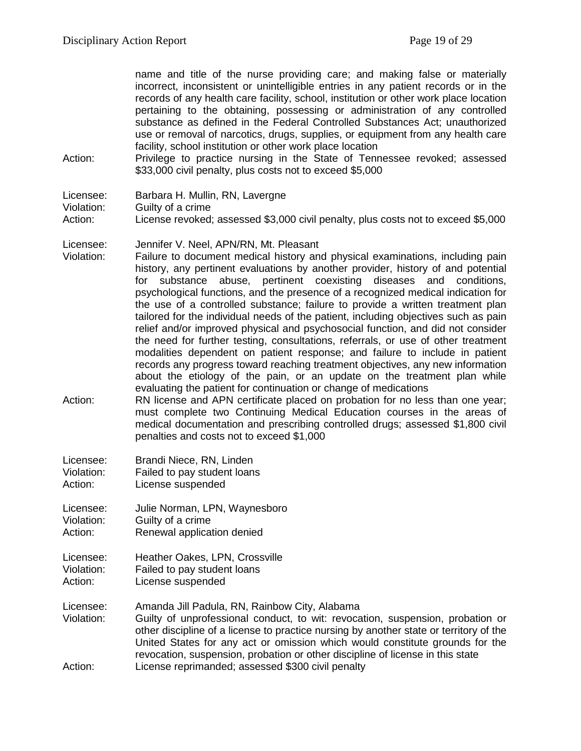name and title of the nurse providing care; and making false or materially incorrect, inconsistent or unintelligible entries in any patient records or in the records of any health care facility, school, institution or other work place location pertaining to the obtaining, possessing or administration of any controlled substance as defined in the Federal Controlled Substances Act; unauthorized use or removal of narcotics, drugs, supplies, or equipment from any health care facility, school institution or other work place location

Action: Privilege to practice nursing in the State of Tennessee revoked; assessed \$33,000 civil penalty, plus costs not to exceed \$5,000

Violation: Guilty of a crime<br>Action: License revoked:

License revoked; assessed \$3,000 civil penalty, plus costs not to exceed \$5,000

Licensee: Jennifer V. Neel, APN/RN, Mt. Pleasant

Violation: Failure to document medical history and physical examinations, including pain history, any pertinent evaluations by another provider, history of and potential for substance abuse, pertinent coexisting diseases and conditions, psychological functions, and the presence of a recognized medical indication for the use of a controlled substance; failure to provide a written treatment plan tailored for the individual needs of the patient, including objectives such as pain relief and/or improved physical and psychosocial function, and did not consider the need for further testing, consultations, referrals, or use of other treatment modalities dependent on patient response; and failure to include in patient records any progress toward reaching treatment objectives, any new information about the etiology of the pain, or an update on the treatment plan while evaluating the patient for continuation or change of medications

- Action: RN license and APN certificate placed on probation for no less than one year; must complete two Continuing Medical Education courses in the areas of medical documentation and prescribing controlled drugs; assessed \$1,800 civil penalties and costs not to exceed \$1,000
- Licensee: Brandi Niece, RN, Linden Violation: Failed to pay student loans Action: License suspended

Licensee: Julie Norman, LPN, Waynesboro Violation: Guilty of a crime Action: Renewal application denied

Licensee: Heather Oakes, LPN, Crossville Violation: Failed to pay student loans Action: License suspended

- Licensee: Amanda Jill Padula, RN, Rainbow City, Alabama
- Violation: Guilty of unprofessional conduct, to wit: revocation, suspension, probation or other discipline of a license to practice nursing by another state or territory of the United States for any act or omission which would constitute grounds for the revocation, suspension, probation or other discipline of license in this state Action: License reprimanded; assessed \$300 civil penalty

Licensee: Barbara H. Mullin, RN, Lavergne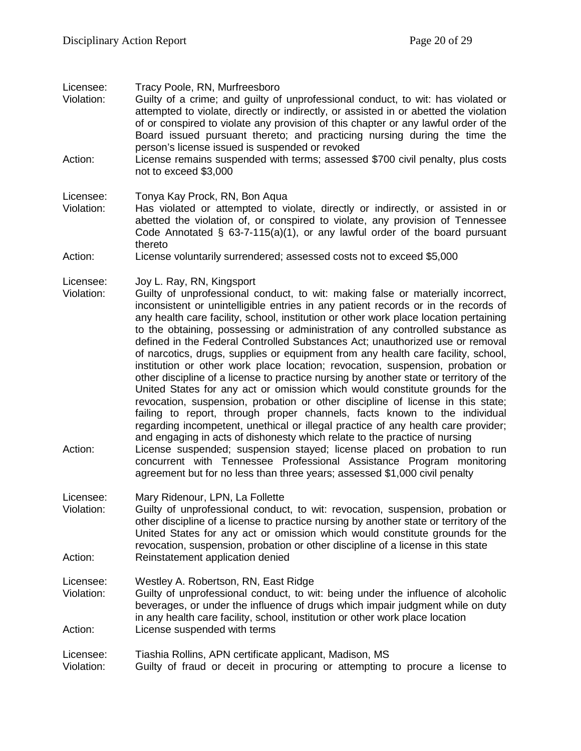Licensee: Tracy Poole, RN, Murfreesboro

- Violation: Guilty of a crime; and guilty of unprofessional conduct, to wit: has violated or attempted to violate, directly or indirectly, or assisted in or abetted the violation of or conspired to violate any provision of this chapter or any lawful order of the Board issued pursuant thereto; and practicing nursing during the time the person's license issued is suspended or revoked
- Action: License remains suspended with terms; assessed \$700 civil penalty, plus costs not to exceed \$3,000

#### Licensee: Tonya Kay Prock, RN, Bon Aqua

Violation: Has violated or attempted to violate, directly or indirectly, or assisted in or abetted the violation of, or conspired to violate, any provision of Tennessee Code Annotated § 63-7-115(a)(1), or any lawful order of the board pursuant thereto

#### Action: License voluntarily surrendered; assessed costs not to exceed \$5,000

- Licensee: Joy L. Ray, RN, Kingsport
- Violation: Guilty of unprofessional conduct, to wit: making false or materially incorrect, inconsistent or unintelligible entries in any patient records or in the records of any health care facility, school, institution or other work place location pertaining to the obtaining, possessing or administration of any controlled substance as defined in the Federal Controlled Substances Act; unauthorized use or removal of narcotics, drugs, supplies or equipment from any health care facility, school, institution or other work place location; revocation, suspension, probation or other discipline of a license to practice nursing by another state or territory of the United States for any act or omission which would constitute grounds for the revocation, suspension, probation or other discipline of license in this state; failing to report, through proper channels, facts known to the individual regarding incompetent, unethical or illegal practice of any health care provider; and engaging in acts of dishonesty which relate to the practice of nursing
- Action: License suspended; suspension stayed; license placed on probation to run concurrent with Tennessee Professional Assistance Program monitoring agreement but for no less than three years; assessed \$1,000 civil penalty
- Licensee: Mary Ridenour, LPN, La Follette<br>Violation: Guilty of unprofessional conduc
- Guilty of unprofessional conduct, to wit: revocation, suspension, probation or other discipline of a license to practice nursing by another state or territory of the United States for any act or omission which would constitute grounds for the revocation, suspension, probation or other discipline of a license in this state Action: Reinstatement application denied

#### Licensee: Westley A. Robertson, RN, East Ridge

Violation: Guilty of unprofessional conduct, to wit: being under the influence of alcoholic beverages, or under the influence of drugs which impair judgment while on duty in any health care facility, school, institution or other work place location Action: License suspended with terms

# Licensee: Tiashia Rollins, APN certificate applicant, Madison, MS Violation: Guilty of fraud or deceit in procuring or attempting to procure a license to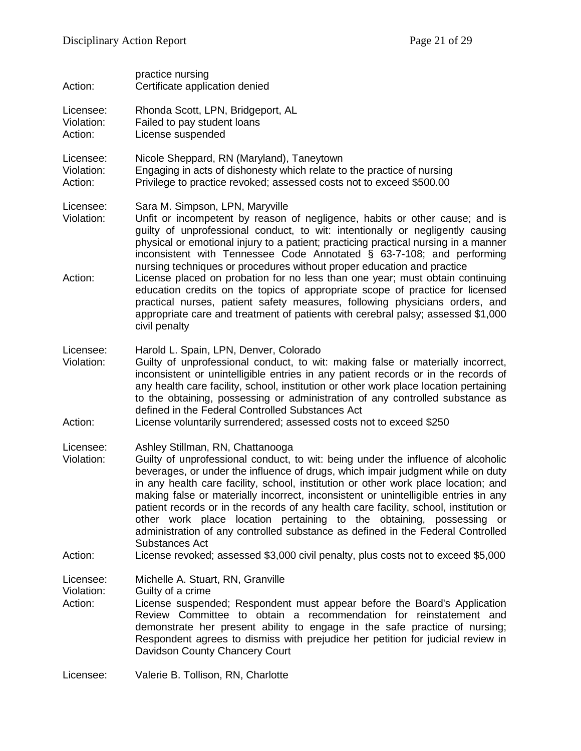| Action:                            | practice nursing<br>Certificate application denied                                                                                                                                                                                                                                                                                                                                                                                                                                                                                                                                                                                                                                                                                                                                               |
|------------------------------------|--------------------------------------------------------------------------------------------------------------------------------------------------------------------------------------------------------------------------------------------------------------------------------------------------------------------------------------------------------------------------------------------------------------------------------------------------------------------------------------------------------------------------------------------------------------------------------------------------------------------------------------------------------------------------------------------------------------------------------------------------------------------------------------------------|
| Licensee:<br>Violation:<br>Action: | Rhonda Scott, LPN, Bridgeport, AL<br>Failed to pay student loans<br>License suspended                                                                                                                                                                                                                                                                                                                                                                                                                                                                                                                                                                                                                                                                                                            |
| Licensee:<br>Violation:<br>Action: | Nicole Sheppard, RN (Maryland), Taneytown<br>Engaging in acts of dishonesty which relate to the practice of nursing<br>Privilege to practice revoked; assessed costs not to exceed \$500.00                                                                                                                                                                                                                                                                                                                                                                                                                                                                                                                                                                                                      |
| Licensee:<br>Violation:<br>Action: | Sara M. Simpson, LPN, Maryville<br>Unfit or incompetent by reason of negligence, habits or other cause; and is<br>guilty of unprofessional conduct, to wit: intentionally or negligently causing<br>physical or emotional injury to a patient; practicing practical nursing in a manner<br>inconsistent with Tennessee Code Annotated § 63-7-108; and performing<br>nursing techniques or procedures without proper education and practice<br>License placed on probation for no less than one year; must obtain continuing<br>education credits on the topics of appropriate scope of practice for licensed<br>practical nurses, patient safety measures, following physicians orders, and<br>appropriate care and treatment of patients with cerebral palsy; assessed \$1,000<br>civil penalty |
| Licensee:<br>Violation:<br>Action: | Harold L. Spain, LPN, Denver, Colorado<br>Guilty of unprofessional conduct, to wit: making false or materially incorrect,<br>inconsistent or unintelligible entries in any patient records or in the records of<br>any health care facility, school, institution or other work place location pertaining<br>to the obtaining, possessing or administration of any controlled substance as<br>defined in the Federal Controlled Substances Act<br>License voluntarily surrendered; assessed costs not to exceed \$250                                                                                                                                                                                                                                                                             |
| Licensee:<br>Violation:<br>Action: | Ashley Stillman, RN, Chattanooga<br>Guilty of unprofessional conduct, to wit: being under the influence of alcoholic<br>beverages, or under the influence of drugs, which impair judgment while on duty<br>in any health care facility, school, institution or other work place location; and<br>making false or materially incorrect, inconsistent or unintelligible entries in any<br>patient records or in the records of any health care facility, school, institution or<br>other work place location pertaining to the obtaining, possessing or<br>administration of any controlled substance as defined in the Federal Controlled<br>Substances Act<br>License revoked; assessed \$3,000 civil penalty, plus costs not to exceed \$5,000                                                  |
| Licensee:<br>Violation:<br>Action: | Michelle A. Stuart, RN, Granville<br>Guilty of a crime<br>License suspended; Respondent must appear before the Board's Application<br>Review Committee to obtain a recommendation for reinstatement and<br>demonstrate her present ability to engage in the safe practice of nursing;<br>Respondent agrees to dismiss with prejudice her petition for judicial review in<br>Davidson County Chancery Court                                                                                                                                                                                                                                                                                                                                                                                       |
| Licensee:                          | Valerie B. Tollison, RN, Charlotte                                                                                                                                                                                                                                                                                                                                                                                                                                                                                                                                                                                                                                                                                                                                                               |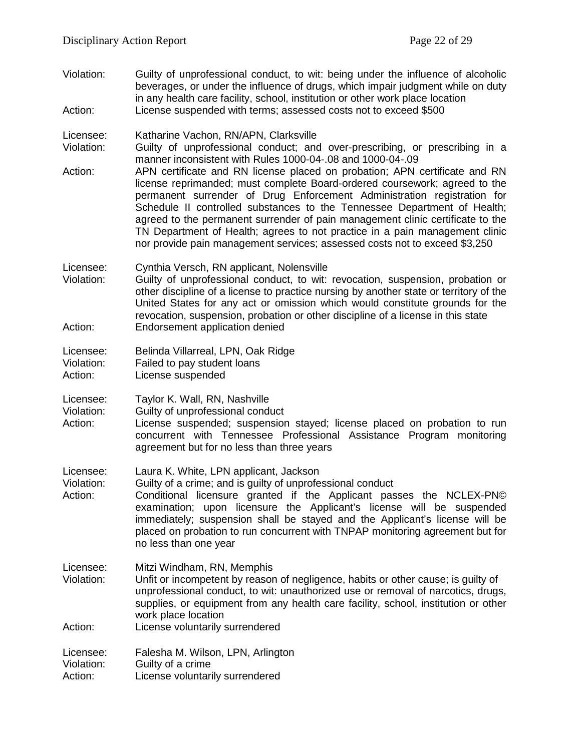Violation: Guilty of unprofessional conduct, to wit: being under the influence of alcoholic beverages, or under the influence of drugs, which impair judgment while on duty in any health care facility, school, institution or other work place location Action: License suspended with terms; assessed costs not to exceed \$500

Licensee: Katharine Vachon, RN/APN, Clarksville<br>Violation: Guilty of unprofessional conduct: and Guilty of unprofessional conduct: and over-prescribing, or prescribing in a manner inconsistent with Rules 1000-04-.08 and 1000-04-.09

Action: APN certificate and RN license placed on probation; APN certificate and RN license reprimanded; must complete Board-ordered coursework; agreed to the permanent surrender of Drug Enforcement Administration registration for Schedule II controlled substances to the Tennessee Department of Health; agreed to the permanent surrender of pain management clinic certificate to the TN Department of Health; agrees to not practice in a pain management clinic nor provide pain management services; assessed costs not to exceed \$3,250

Licensee: Cynthia Versch, RN applicant, Nolensville

Violation: Guilty of unprofessional conduct, to wit: revocation, suspension, probation or other discipline of a license to practice nursing by another state or territory of the United States for any act or omission which would constitute grounds for the revocation, suspension, probation or other discipline of a license in this state Action: Endorsement application denied

Licensee: Belinda Villarreal, LPN, Oak Ridge Violation: Failed to pay student loans

- Action: License suspended
- Licensee: Taylor K. Wall, RN, Nashville
- Violation: Guilty of unprofessional conduct
- Action: License suspended; suspension stayed; license placed on probation to run concurrent with Tennessee Professional Assistance Program monitoring agreement but for no less than three years
- Licensee: Laura K. White, LPN applicant, Jackson<br>Violation: Guilty of a crime: and is quilty of unprofe

Violation: Guilty of a crime; and is guilty of unprofessional conduct<br>Action: Conditional licensure granted if the Applicant pas

- Conditional licensure granted if the Applicant passes the NCLEX-PN© examination; upon licensure the Applicant's license will be suspended immediately; suspension shall be stayed and the Applicant's license will be placed on probation to run concurrent with TNPAP monitoring agreement but for no less than one year
- Licensee: Mitzi Windham, RN, Memphis
- Violation: Unfit or incompetent by reason of negligence, habits or other cause; is guilty of unprofessional conduct, to wit: unauthorized use or removal of narcotics, drugs, supplies, or equipment from any health care facility, school, institution or other work place location
- Action: License voluntarily surrendered

Licensee: Falesha M. Wilson, LPN, Arlington Violation: Guilty of a crime Action: License voluntarily surrendered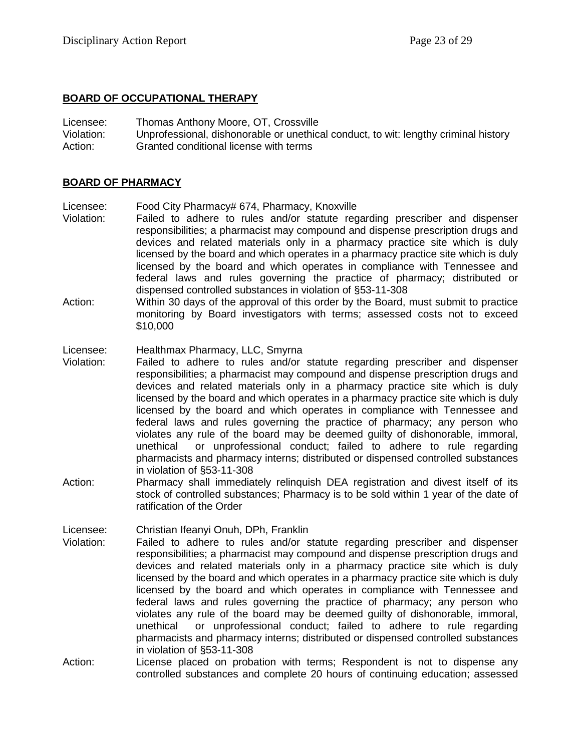#### **BOARD OF OCCUPATIONAL THERAPY**

Licensee: Thomas Anthony Moore, OT, Crossville

Violation: Unprofessional, dishonorable or unethical conduct, to wit: lengthy criminal history Action: Granted conditional license with terms

#### **BOARD OF PHARMACY**

Licensee: Food City Pharmacy# 674, Pharmacy, Knoxville

- Violation: Failed to adhere to rules and/or statute regarding prescriber and dispenser responsibilities; a pharmacist may compound and dispense prescription drugs and devices and related materials only in a pharmacy practice site which is duly licensed by the board and which operates in a pharmacy practice site which is duly licensed by the board and which operates in compliance with Tennessee and federal laws and rules governing the practice of pharmacy; distributed or dispensed controlled substances in violation of §53-11-308
- Action: Within 30 days of the approval of this order by the Board, must submit to practice monitoring by Board investigators with terms; assessed costs not to exceed \$10,000

# Licensee: Healthmax Pharmacy, LLC, Smyrna<br>Violation: Failed to adhere to rules and/or

- Failed to adhere to rules and/or statute regarding prescriber and dispenser responsibilities; a pharmacist may compound and dispense prescription drugs and devices and related materials only in a pharmacy practice site which is duly licensed by the board and which operates in a pharmacy practice site which is duly licensed by the board and which operates in compliance with Tennessee and federal laws and rules governing the practice of pharmacy; any person who violates any rule of the board may be deemed guilty of dishonorable, immoral, unethical or unprofessional conduct; failed to adhere to rule regarding pharmacists and pharmacy interns; distributed or dispensed controlled substances in violation of §53-11-308
- Action: Pharmacy shall immediately relinquish DEA registration and divest itself of its stock of controlled substances; Pharmacy is to be sold within 1 year of the date of ratification of the Order

Licensee: Christian Ifeanyi Onuh, DPh, Franklin

- Violation: Failed to adhere to rules and/or statute regarding prescriber and dispenser responsibilities; a pharmacist may compound and dispense prescription drugs and devices and related materials only in a pharmacy practice site which is duly licensed by the board and which operates in a pharmacy practice site which is duly licensed by the board and which operates in compliance with Tennessee and federal laws and rules governing the practice of pharmacy; any person who violates any rule of the board may be deemed guilty of dishonorable, immoral, unethical or unprofessional conduct; failed to adhere to rule regarding pharmacists and pharmacy interns; distributed or dispensed controlled substances in violation of §53-11-308
- Action: License placed on probation with terms; Respondent is not to dispense any controlled substances and complete 20 hours of continuing education; assessed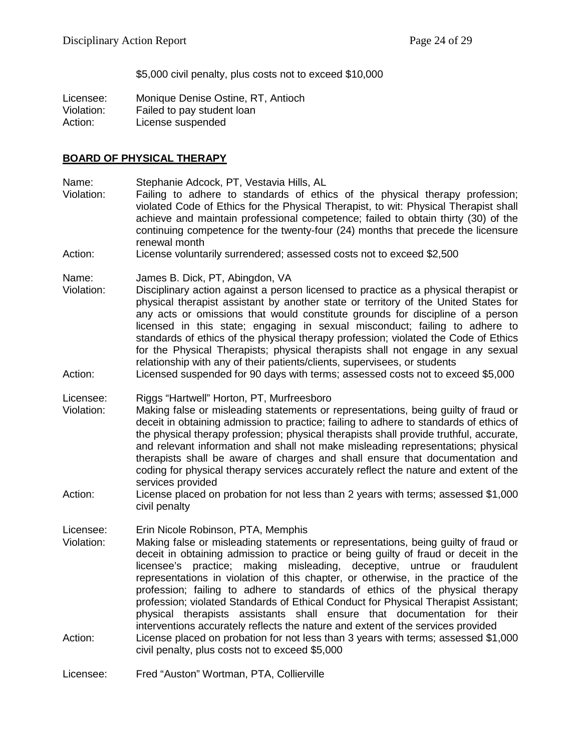\$5,000 civil penalty, plus costs not to exceed \$10,000

Licensee: Monique Denise Ostine, RT, Antioch Violation: Failed to pay student loan Action: License suspended

### **BOARD OF PHYSICAL THERAPY**

Name: Stephanie Adcock, PT, Vestavia Hills, AL<br>Violation: Failing to adhere to standards of ethic

- Failing to adhere to standards of ethics of the physical therapy profession; violated Code of Ethics for the Physical Therapist, to wit: Physical Therapist shall achieve and maintain professional competence; failed to obtain thirty (30) of the continuing competence for the twenty-four (24) months that precede the licensure renewal month
- Action: License voluntarily surrendered; assessed costs not to exceed \$2,500

Name: James B. Dick, PT, Abingdon, VA

- Violation: Disciplinary action against a person licensed to practice as a physical therapist or physical therapist assistant by another state or territory of the United States for any acts or omissions that would constitute grounds for discipline of a person licensed in this state; engaging in sexual misconduct; failing to adhere to standards of ethics of the physical therapy profession; violated the Code of Ethics for the Physical Therapists; physical therapists shall not engage in any sexual relationship with any of their patients/clients, supervisees, or students
- Action: Licensed suspended for 90 days with terms; assessed costs not to exceed \$5,000
- Licensee: Riggs "Hartwell" Horton, PT, Murfreesboro
- Violation: Making false or misleading statements or representations, being guilty of fraud or deceit in obtaining admission to practice; failing to adhere to standards of ethics of the physical therapy profession; physical therapists shall provide truthful, accurate, and relevant information and shall not make misleading representations; physical therapists shall be aware of charges and shall ensure that documentation and coding for physical therapy services accurately reflect the nature and extent of the services provided
- Action: License placed on probation for not less than 2 years with terms; assessed \$1,000 civil penalty

Licensee: Erin Nicole Robinson, PTA, Memphis

- Violation: Making false or misleading statements or representations, being guilty of fraud or deceit in obtaining admission to practice or being guilty of fraud or deceit in the licensee's practice; making misleading, deceptive, untrue or fraudulent representations in violation of this chapter, or otherwise, in the practice of the profession; failing to adhere to standards of ethics of the physical therapy profession; violated Standards of Ethical Conduct for Physical Therapist Assistant; physical therapists assistants shall ensure that documentation for their interventions accurately reflects the nature and extent of the services provided
- Action: License placed on probation for not less than 3 years with terms; assessed \$1,000 civil penalty, plus costs not to exceed \$5,000
- Licensee: Fred "Auston" Wortman, PTA, Collierville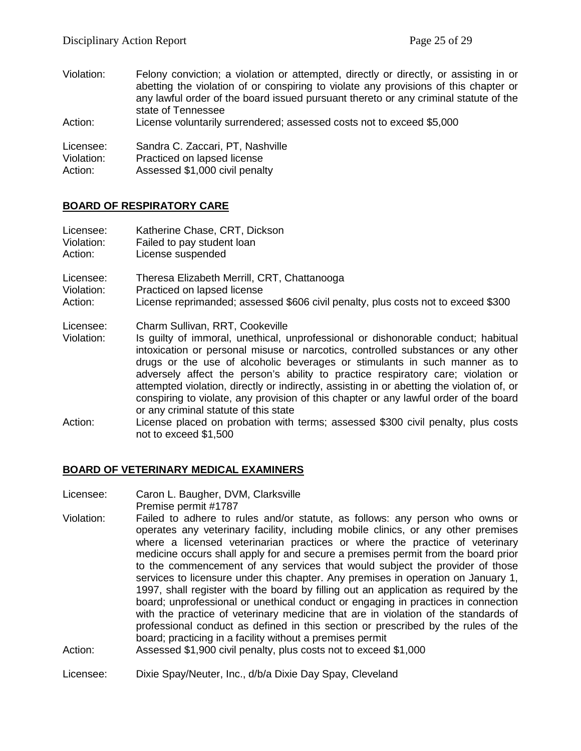Violation: Felony conviction; a violation or attempted, directly or directly, or assisting in or abetting the violation of or conspiring to violate any provisions of this chapter or any lawful order of the board issued pursuant thereto or any criminal statute of the state of Tennessee Action: License voluntarily surrendered; assessed costs not to exceed \$5,000 Licensee: Sandra C. Zaccari, PT, Nashville Violation: Practiced on lapsed license Action: Assessed \$1,000 civil penalty

# **BOARD OF RESPIRATORY CARE**

| Licensee:               | Katherine Chase, CRT, Dickson                                                                                                                                                                                                                                                                                                                                                                                                                                                                                                                                                                              |
|-------------------------|------------------------------------------------------------------------------------------------------------------------------------------------------------------------------------------------------------------------------------------------------------------------------------------------------------------------------------------------------------------------------------------------------------------------------------------------------------------------------------------------------------------------------------------------------------------------------------------------------------|
| Violation:              | Failed to pay student loan                                                                                                                                                                                                                                                                                                                                                                                                                                                                                                                                                                                 |
| Action:                 | License suspended                                                                                                                                                                                                                                                                                                                                                                                                                                                                                                                                                                                          |
| Licensee:               | Theresa Elizabeth Merrill, CRT, Chattanooga                                                                                                                                                                                                                                                                                                                                                                                                                                                                                                                                                                |
| Violation:              | Practiced on lapsed license                                                                                                                                                                                                                                                                                                                                                                                                                                                                                                                                                                                |
| Action:                 | License reprimanded; assessed \$606 civil penalty, plus costs not to exceed \$300                                                                                                                                                                                                                                                                                                                                                                                                                                                                                                                          |
| Licensee:<br>Violation: | Charm Sullivan, RRT, Cookeville<br>Is guilty of immoral, unethical, unprofessional or dishonorable conduct; habitual<br>intoxication or personal misuse or narcotics, controlled substances or any other<br>drugs or the use of alcoholic beverages or stimulants in such manner as to<br>adversely affect the person's ability to practice respiratory care; violation or<br>attempted violation, directly or indirectly, assisting in or abetting the violation of, or<br>conspiring to violate, any provision of this chapter or any lawful order of the board<br>or any criminal statute of this state |
| Action:                 | License placed on probation with terms; assessed \$300 civil penalty, plus costs<br>not to exceed \$1,500                                                                                                                                                                                                                                                                                                                                                                                                                                                                                                  |

#### **BOARD OF VETERINARY MEDICAL EXAMINERS**

- Licensee: Caron L. Baugher, DVM, Clarksville Premise permit #1787
- Violation: Failed to adhere to rules and/or statute, as follows: any person who owns or operates any veterinary facility, including mobile clinics, or any other premises where a licensed veterinarian practices or where the practice of veterinary medicine occurs shall apply for and secure a premises permit from the board prior to the commencement of any services that would subject the provider of those services to licensure under this chapter. Any premises in operation on January 1, 1997, shall register with the board by filling out an application as required by the board; unprofessional or unethical conduct or engaging in practices in connection with the practice of veterinary medicine that are in violation of the standards of professional conduct as defined in this section or prescribed by the rules of the board; practicing in a facility without a premises permit
- Action: Assessed \$1,900 civil penalty, plus costs not to exceed \$1,000

#### Licensee: Dixie Spay/Neuter, Inc., d/b/a Dixie Day Spay, Cleveland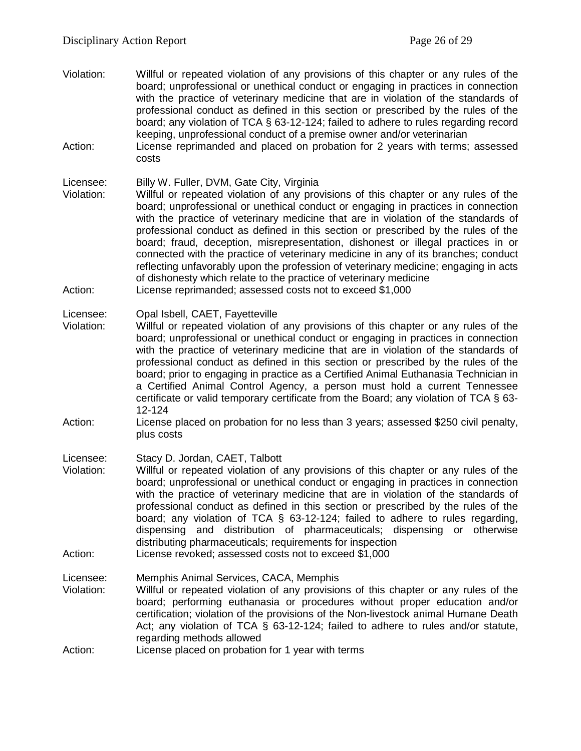- Violation: Willful or repeated violation of any provisions of this chapter or any rules of the board; unprofessional or unethical conduct or engaging in practices in connection with the practice of veterinary medicine that are in violation of the standards of professional conduct as defined in this section or prescribed by the rules of the board; any violation of TCA § 63-12-124; failed to adhere to rules regarding record keeping, unprofessional conduct of a premise owner and/or veterinarian Action: License reprimanded and placed on probation for 2 years with terms; assessed costs Licensee: Billy W. Fuller, DVM, Gate City, Virginia<br>Violation: Willful or repeated violation of any prov Willful or repeated violation of any provisions of this chapter or any rules of the board; unprofessional or unethical conduct or engaging in practices in connection with the practice of veterinary medicine that are in violation of the standards of
	- professional conduct as defined in this section or prescribed by the rules of the board; fraud, deception, misrepresentation, dishonest or illegal practices in or connected with the practice of veterinary medicine in any of its branches; conduct reflecting unfavorably upon the profession of veterinary medicine; engaging in acts of dishonesty which relate to the practice of veterinary medicine
- Action: License reprimanded; assessed costs not to exceed \$1,000
- Licensee: Opal Isbell, CAET, Fayetteville
- Violation: Willful or repeated violation of any provisions of this chapter or any rules of the board; unprofessional or unethical conduct or engaging in practices in connection with the practice of veterinary medicine that are in violation of the standards of professional conduct as defined in this section or prescribed by the rules of the board; prior to engaging in practice as a Certified Animal Euthanasia Technician in a Certified Animal Control Agency, a person must hold a current Tennessee certificate or valid temporary certificate from the Board; any violation of TCA § 63- 12-124
- Action: License placed on probation for no less than 3 years; assessed \$250 civil penalty, plus costs
- Licensee: Stacy D. Jordan, CAET, Talbott
- Violation: Willful or repeated violation of any provisions of this chapter or any rules of the board; unprofessional or unethical conduct or engaging in practices in connection with the practice of veterinary medicine that are in violation of the standards of professional conduct as defined in this section or prescribed by the rules of the board; any violation of TCA § 63-12-124; failed to adhere to rules regarding, dispensing and distribution of pharmaceuticals; dispensing or otherwise distributing pharmaceuticals; requirements for inspection
- Action: License revoked; assessed costs not to exceed \$1,000
- Licensee: Memphis Animal Services, CACA, Memphis
- Violation: Willful or repeated violation of any provisions of this chapter or any rules of the board; performing euthanasia or procedures without proper education and/or certification; violation of the provisions of the Non-livestock animal Humane Death Act; any violation of TCA § 63-12-124; failed to adhere to rules and/or statute, regarding methods allowed
- Action: License placed on probation for 1 year with terms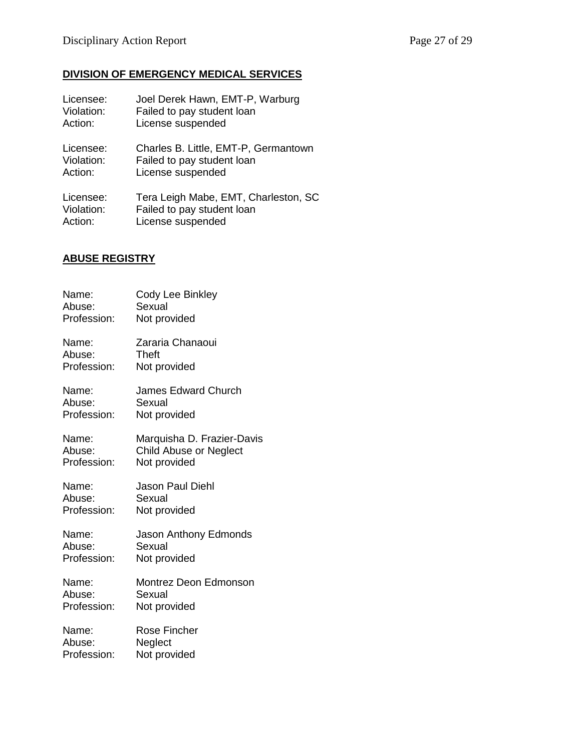# **DIVISION OF EMERGENCY MEDICAL SERVICES**

| Licensee:  | Joel Derek Hawn, EMT-P, Warburg      |
|------------|--------------------------------------|
| Violation: | Failed to pay student loan           |
| Action:    | License suspended                    |
| Licensee:  | Charles B. Little, EMT-P, Germantown |
| Violation: | Failed to pay student loan           |
| Action:    | License suspended                    |
| Licensee:  | Tera Leigh Mabe, EMT, Charleston, SC |
| Violation: | Failed to pay student loan           |
| Action:    | License suspended                    |

# **ABUSE REGISTRY**

| Name:       | Cody Lee Binkley             |
|-------------|------------------------------|
| Abuse:      | Sexual                       |
| Profession: | Not provided                 |
| Name:       | Zararia Chanaoui             |
| Abuse:      | Theft                        |
| Profession: | Not provided                 |
| Name:       | <b>James Edward Church</b>   |
| Abuse:      | Sexual                       |
| Profession: | Not provided                 |
| Name:       | Marquisha D. Frazier-Davis   |
| Abuse:      | Child Abuse or Neglect       |
| Profession: | Not provided                 |
| Name:       | <b>Jason Paul Diehl</b>      |
| Abuse:      | Sexual                       |
| Profession: | Not provided                 |
| Name:       | <b>Jason Anthony Edmonds</b> |
| Abuse:      | Sexual                       |
| Profession: | Not provided                 |
| Name:       | Montrez Deon Edmonson        |
| Abuse:      | Sexual                       |
| Profession: | Not provided                 |
| Name:       | Rose Fincher                 |
| Abuse:      | Neglect                      |
| Profession: | Not provided                 |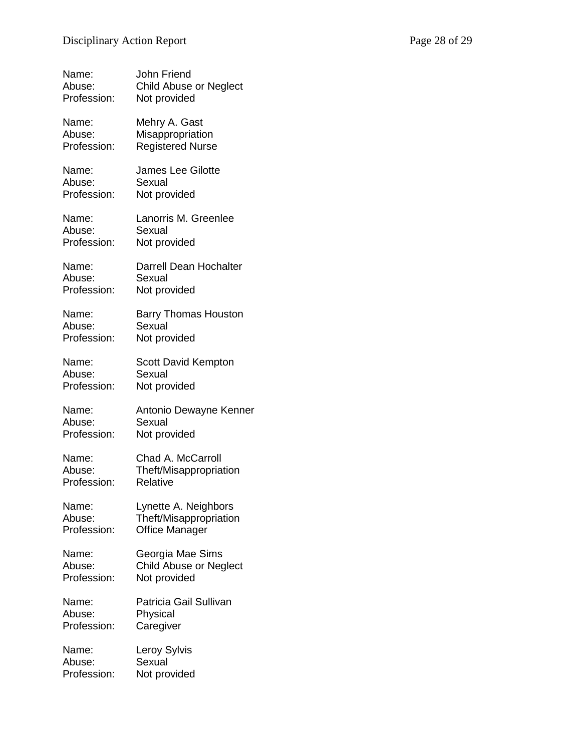| Name:       | John Friend                   |
|-------------|-------------------------------|
| Abuse:      | Child Abuse or Neglect        |
| Profession: | Not provided                  |
| Name:       | Mehry A. Gast                 |
| Abuse:      | Misappropriation              |
| Profession: | <b>Registered Nurse</b>       |
| Name:       | James Lee Gilotte             |
| Abuse:      | Sexual                        |
| Profession: | Not provided                  |
| Name:       | Lanorris M. Greenlee          |
| Abuse:      | Sexual                        |
| Profession: | Not provided                  |
| Name:       | Darrell Dean Hochalter        |
| Abuse:      | Sexual                        |
| Profession: | Not provided                  |
| Name:       | <b>Barry Thomas Houston</b>   |
| Abuse:      | Sexual                        |
| Profession: | Not provided                  |
| Name:       | <b>Scott David Kempton</b>    |
| Abuse:      | Sexual                        |
| Profession: | Not provided                  |
| Name:       | Antonio Dewayne Kenner        |
| Abuse:      | Sexual                        |
| Profession: | Not provided                  |
| Name:       | Chad A. McCarroll             |
| Abuse:      | Theft/Misappropriation        |
| Profession: | Relative                      |
| Name:       | Lynette A. Neighbors          |
| Abuse:      | Theft/Misappropriation        |
| Profession: | <b>Office Manager</b>         |
| Name:       | Georgia Mae Sims              |
| Abuse:      | <b>Child Abuse or Neglect</b> |
| Profession: | Not provided                  |
| Name:       | Patricia Gail Sullivan        |
| Abuse:      | Physical                      |
| Profession: | Caregiver                     |
| Name:       | Leroy Sylvis                  |
| Abuse:      | Sexual                        |
| Profession: | Not provided                  |